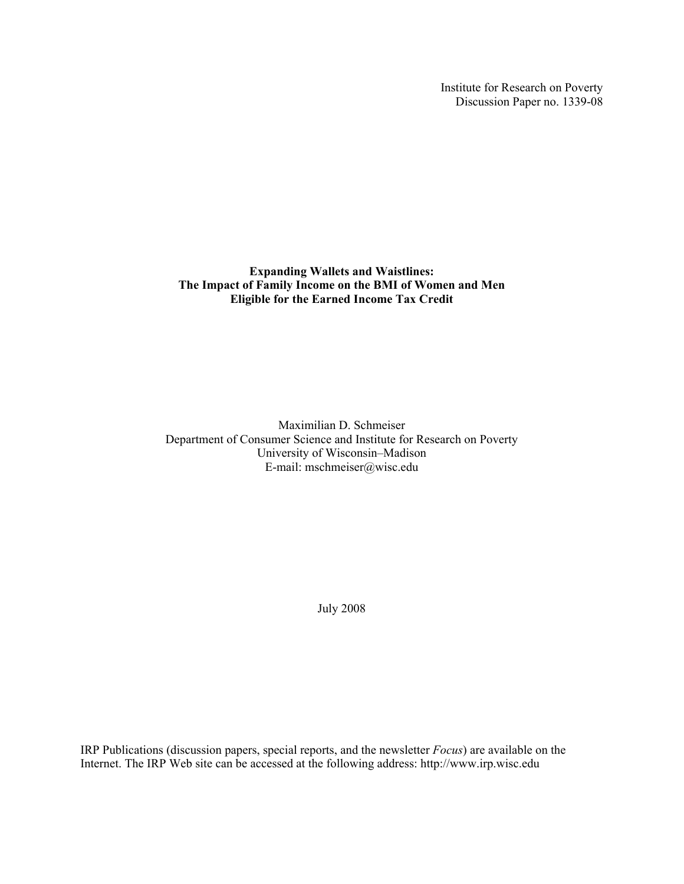Institute for Research on Poverty Discussion Paper no. 1339-08

**Expanding Wallets and Waistlines: The Impact of Family Income on the BMI of Women and Men Eligible for the Earned Income Tax Credit** 

Maximilian D. Schmeiser Department of Consumer Science and Institute for Research on Poverty University of Wisconsin–Madison E-mail: mschmeiser@wisc.edu

July 2008

IRP Publications (discussion papers, special reports, and the newsletter *Focus*) are available on the Internet. The IRP Web site can be accessed at the following address: http://www.irp.wisc.edu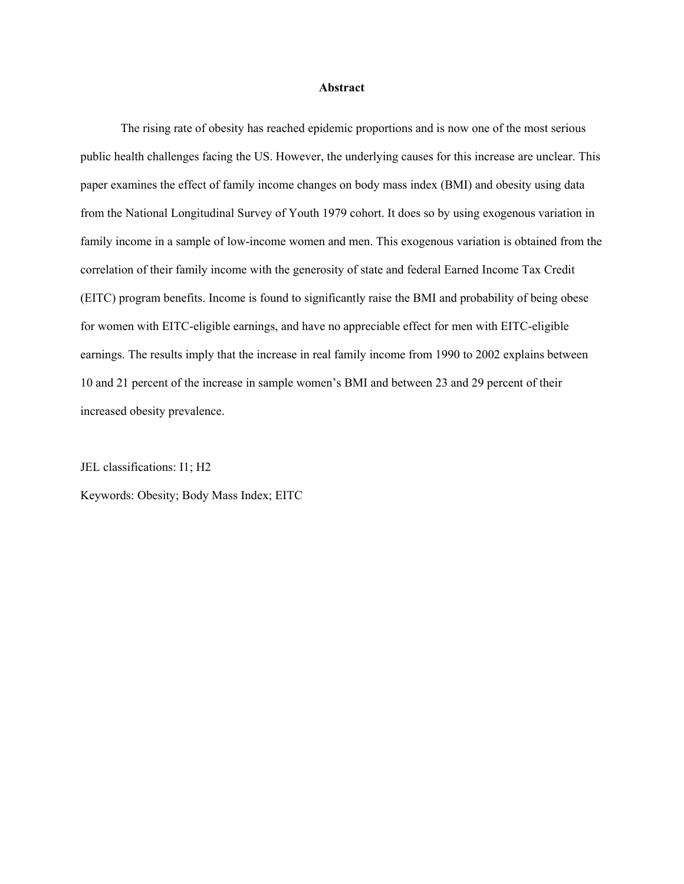#### **Abstract**

The rising rate of obesity has reached epidemic proportions and is now one of the most serious public health challenges facing the US. However, the underlying causes for this increase are unclear. This paper examines the effect of family income changes on body mass index (BMI) and obesity using data from the National Longitudinal Survey of Youth 1979 cohort. It does so by using exogenous variation in family income in a sample of low-income women and men. This exogenous variation is obtained from the correlation of their family income with the generosity of state and federal Earned Income Tax Credit (EITC) program benefits. Income is found to significantly raise the BMI and probability of being obese for women with EITC-eligible earnings, and have no appreciable effect for men with EITC-eligible earnings. The results imply that the increase in real family income from 1990 to 2002 explains between 10 and 21 percent of the increase in sample women's BMI and between 23 and 29 percent of their increased obesity prevalence.

JEL classifications: I1; H2

Keywords: Obesity; Body Mass Index; EITC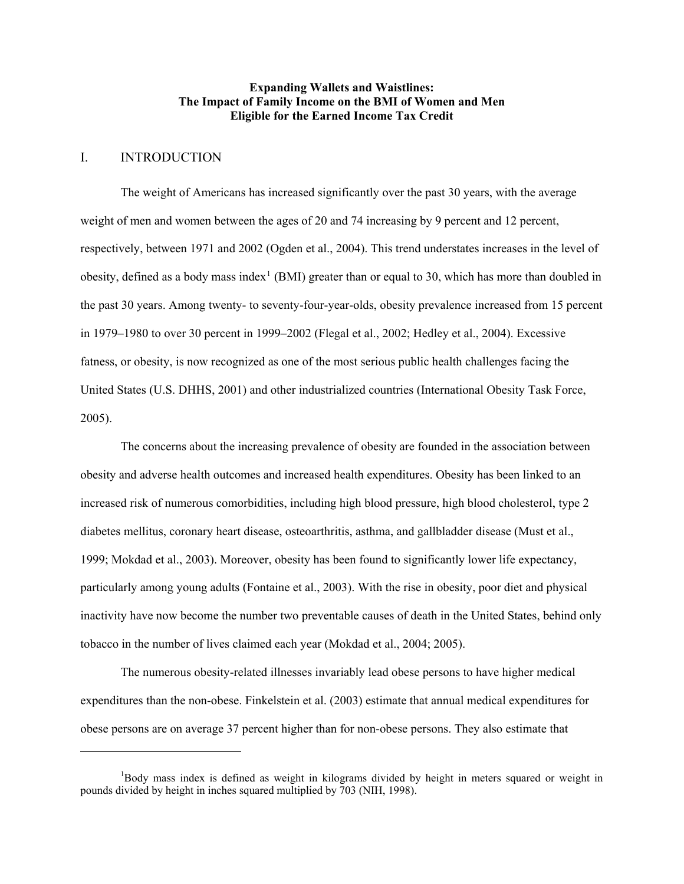## **Expanding Wallets and Waistlines: The Impact of Family Income on the BMI of Women and Men Eligible for the Earned Income Tax Credit**

## I. INTRODUCTION

 $\overline{a}$ 

The weight of Americans has increased significantly over the past 30 years, with the average weight of men and women between the ages of 20 and 74 increasing by 9 percent and 12 percent, respectively, between 1971 and 2002 (Ogden et al., 2004). This trend understates increases in the level of obesity, defined as a body mass index<sup>[1](#page-2-0)</sup> (BMI) greater than or equal to 30, which has more than doubled in the past 30 years. Among twenty- to seventy-four-year-olds, obesity prevalence increased from 15 percent in 1979–1980 to over 30 percent in 1999–2002 (Flegal et al., 2002; Hedley et al., 2004). Excessive fatness, or obesity, is now recognized as one of the most serious public health challenges facing the United States (U.S. DHHS, 2001) and other industrialized countries (International Obesity Task Force, 2005).

The concerns about the increasing prevalence of obesity are founded in the association between obesity and adverse health outcomes and increased health expenditures. Obesity has been linked to an increased risk of numerous comorbidities, including high blood pressure, high blood cholesterol, type 2 diabetes mellitus, coronary heart disease, osteoarthritis, asthma, and gallbladder disease (Must et al., 1999; Mokdad et al., 2003). Moreover, obesity has been found to significantly lower life expectancy, particularly among young adults (Fontaine et al., 2003). With the rise in obesity, poor diet and physical inactivity have now become the number two preventable causes of death in the United States, behind only tobacco in the number of lives claimed each year (Mokdad et al., 2004; 2005).

The numerous obesity-related illnesses invariably lead obese persons to have higher medical expenditures than the non-obese. Finkelstein et al. (2003) estimate that annual medical expenditures for obese persons are on average 37 percent higher than for non-obese persons. They also estimate that

<span id="page-2-0"></span><sup>&</sup>lt;sup>1</sup>Body mass index is defined as weight in kilograms divided by height in meters squared or weight in pounds divided by height in inches squared multiplied by 703 (NIH, 1998).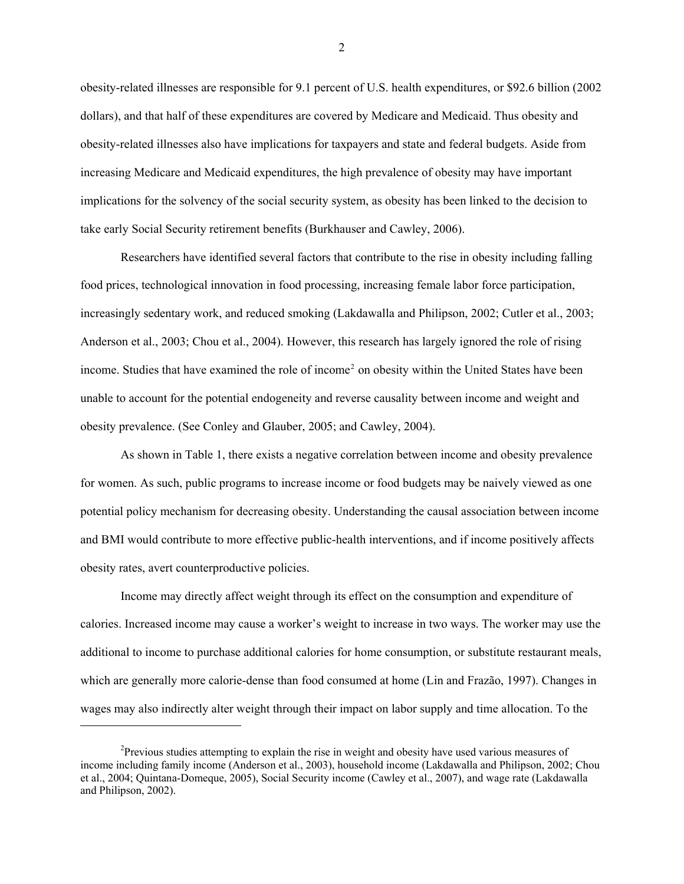obesity-related illnesses are responsible for 9.1 percent of U.S. health expenditures, or \$92.6 billion (2002 dollars), and that half of these expenditures are covered by Medicare and Medicaid. Thus obesity and obesity-related illnesses also have implications for taxpayers and state and federal budgets. Aside from increasing Medicare and Medicaid expenditures, the high prevalence of obesity may have important implications for the solvency of the social security system, as obesity has been linked to the decision to take early Social Security retirement benefits (Burkhauser and Cawley, 2006).

Researchers have identified several factors that contribute to the rise in obesity including falling food prices, technological innovation in food processing, increasing female labor force participation, increasingly sedentary work, and reduced smoking (Lakdawalla and Philipson, 2002; Cutler et al., 2003; Anderson et al., 2003; Chou et al., 2004). However, this research has largely ignored the role of rising income. Studies that have examined the role of income<sup>[2](#page-3-0)</sup> on obesity within the United States have been unable to account for the potential endogeneity and reverse causality between income and weight and obesity prevalence. (See Conley and Glauber, 2005; and Cawley, 2004).

As shown in Table 1, there exists a negative correlation between income and obesity prevalence for women. As such, public programs to increase income or food budgets may be naively viewed as one potential policy mechanism for decreasing obesity. Understanding the causal association between income and BMI would contribute to more effective public-health interventions, and if income positively affects obesity rates, avert counterproductive policies.

Income may directly affect weight through its effect on the consumption and expenditure of calories. Increased income may cause a worker's weight to increase in two ways. The worker may use the additional to income to purchase additional calories for home consumption, or substitute restaurant meals, which are generally more calorie-dense than food consumed at home (Lin and Frazão, 1997). Changes in wages may also indirectly alter weight through their impact on labor supply and time allocation. To the

l

<span id="page-3-0"></span><sup>&</sup>lt;sup>2</sup>Previous studies attempting to explain the rise in weight and obesity have used various measures of income including family income (Anderson et al., 2003), household income (Lakdawalla and Philipson, 2002; Chou et al., 2004; Quintana-Domeque, 2005), Social Security income (Cawley et al., 2007), and wage rate (Lakdawalla and Philipson, 2002).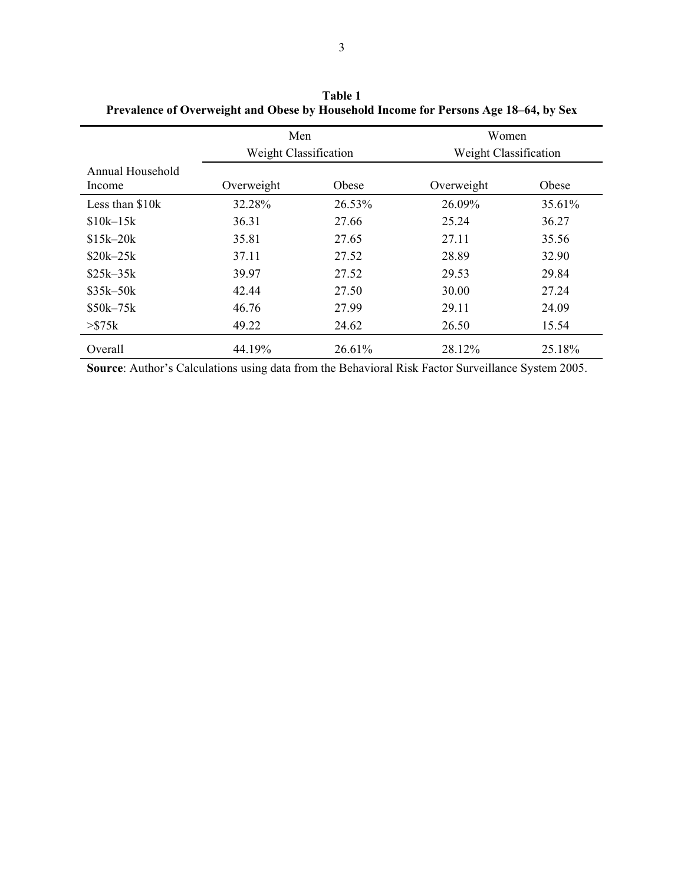|                            | Men<br>Weight Classification |        | Women<br>Weight Classification |        |  |  |
|----------------------------|------------------------------|--------|--------------------------------|--------|--|--|
| Annual Household<br>Income | Overweight                   | Obese  | Overweight                     | Obese  |  |  |
| Less than \$10k            | 32.28%                       | 26.53% | 26.09%                         | 35.61% |  |  |
| $$10k-15k$                 | 36.31                        | 27.66  | 25.24                          | 36.27  |  |  |
| $$15k - 20k$               | 35.81                        | 27.65  | 27.11                          | 35.56  |  |  |
| $$20k - 25k$               | 37.11                        | 27.52  | 28.89                          | 32.90  |  |  |
| $$25k-35k$                 | 39.97                        | 27.52  | 29.53                          | 29.84  |  |  |
| $$35k - 50k$               | 42.44                        | 27.50  | 30.00                          | 27.24  |  |  |
| $$50k - 75k$               | 46.76                        | 27.99  | 29.11                          | 24.09  |  |  |
| $>$ \$75 $k$               | 49.22                        | 24.62  | 26.50                          | 15.54  |  |  |
| Overall                    | 44.19%                       | 26.61% | 28.12%                         | 25.18% |  |  |

**Table 1 Prevalence of Overweight and Obese by Household Income for Persons Age 18–64, by Sex**

**Source**: Author's Calculations using data from the Behavioral Risk Factor Surveillance System 2005.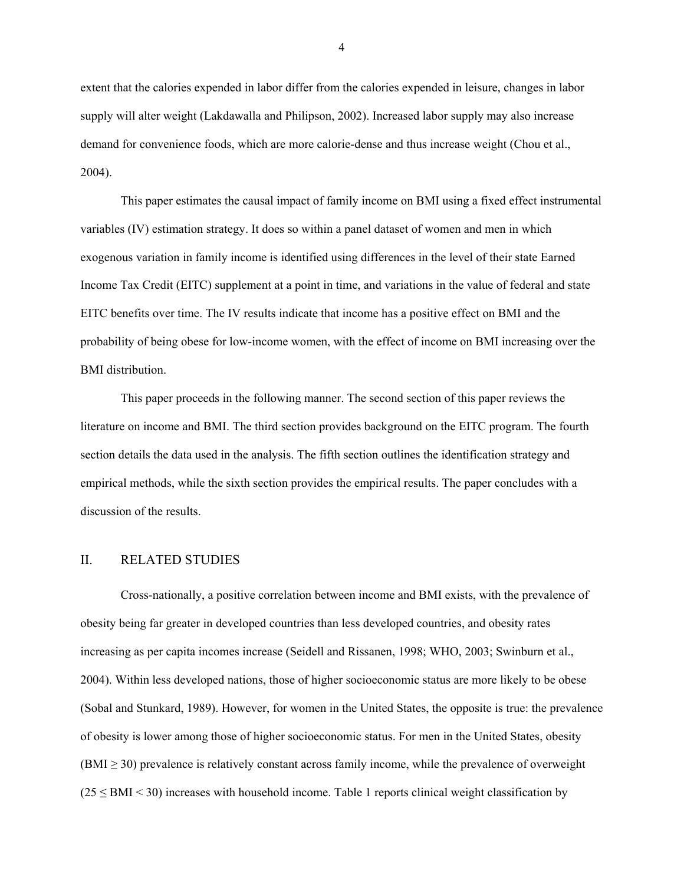extent that the calories expended in labor differ from the calories expended in leisure, changes in labor supply will alter weight (Lakdawalla and Philipson, 2002). Increased labor supply may also increase demand for convenience foods, which are more calorie-dense and thus increase weight (Chou et al., 2004).

This paper estimates the causal impact of family income on BMI using a fixed effect instrumental variables (IV) estimation strategy. It does so within a panel dataset of women and men in which exogenous variation in family income is identified using differences in the level of their state Earned Income Tax Credit (EITC) supplement at a point in time, and variations in the value of federal and state EITC benefits over time. The IV results indicate that income has a positive effect on BMI and the probability of being obese for low-income women, with the effect of income on BMI increasing over the BMI distribution.

This paper proceeds in the following manner. The second section of this paper reviews the literature on income and BMI. The third section provides background on the EITC program. The fourth section details the data used in the analysis. The fifth section outlines the identification strategy and empirical methods, while the sixth section provides the empirical results. The paper concludes with a discussion of the results.

# II. RELATED STUDIES

Cross-nationally, a positive correlation between income and BMI exists, with the prevalence of obesity being far greater in developed countries than less developed countries, and obesity rates increasing as per capita incomes increase (Seidell and Rissanen, 1998; WHO, 2003; Swinburn et al., 2004). Within less developed nations, those of higher socioeconomic status are more likely to be obese (Sobal and Stunkard, 1989). However, for women in the United States, the opposite is true: the prevalence of obesity is lower among those of higher socioeconomic status. For men in the United States, obesity  $(BMI \geq 30)$  prevalence is relatively constant across family income, while the prevalence of overweight  $(25 \leq BMI \leq 30)$  increases with household income. Table 1 reports clinical weight classification by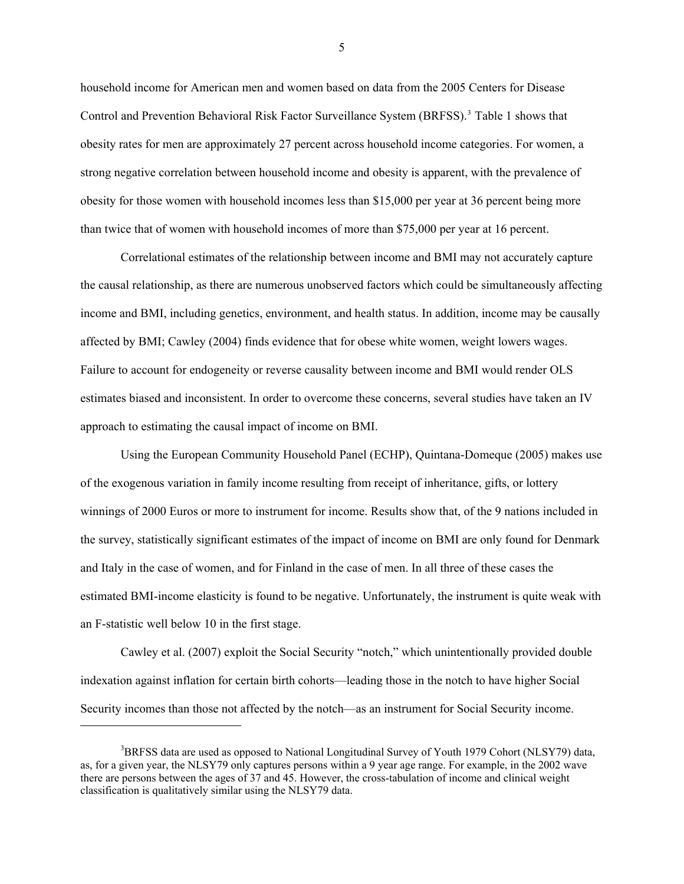household income for American men and women based on data from the 2005 Centers for Disease Control and Prevention Behavioral Risk Factor Surveillance System (BRFSS).<sup>[3](#page-6-0)</sup> Table 1 shows that obesity rates for men are approximately 27 percent across household income categories. For women, a strong negative correlation between household income and obesity is apparent, with the prevalence of obesity for those women with household incomes less than \$15,000 per year at 36 percent being more than twice that of women with household incomes of more than \$75,000 per year at 16 percent.

Correlational estimates of the relationship between income and BMI may not accurately capture the causal relationship, as there are numerous unobserved factors which could be simultaneously affecting income and BMI, including genetics, environment, and health status. In addition, income may be causally affected by BMI; Cawley (2004) finds evidence that for obese white women, weight lowers wages. Failure to account for endogeneity or reverse causality between income and BMI would render OLS estimates biased and inconsistent. In order to overcome these concerns, several studies have taken an IV approach to estimating the causal impact of income on BMI.

Using the European Community Household Panel (ECHP), Quintana-Domeque (2005) makes use of the exogenous variation in family income resulting from receipt of inheritance, gifts, or lottery winnings of 2000 Euros or more to instrument for income. Results show that, of the 9 nations included in the survey, statistically significant estimates of the impact of income on BMI are only found for Denmark and Italy in the case of women, and for Finland in the case of men. In all three of these cases the estimated BMI-income elasticity is found to be negative. Unfortunately, the instrument is quite weak with an F-statistic well below 10 in the first stage.

Cawley et al. (2007) exploit the Social Security "notch," which unintentionally provided double indexation against inflation for certain birth cohorts—leading those in the notch to have higher Social Security incomes than those not affected by the notch—as an instrument for Social Security income.

l

<span id="page-6-0"></span><sup>&</sup>lt;sup>3</sup>BRFSS data are used as opposed to National Longitudinal Survey of Youth 1979 Cohort (NLSY79) data, as, for a given year, the NLSY79 only captures persons within a 9 year age range. For example, in the 2002 wave there are persons between the ages of 37 and 45. However, the cross-tabulation of income and clinical weight classification is qualitatively similar using the NLSY79 data.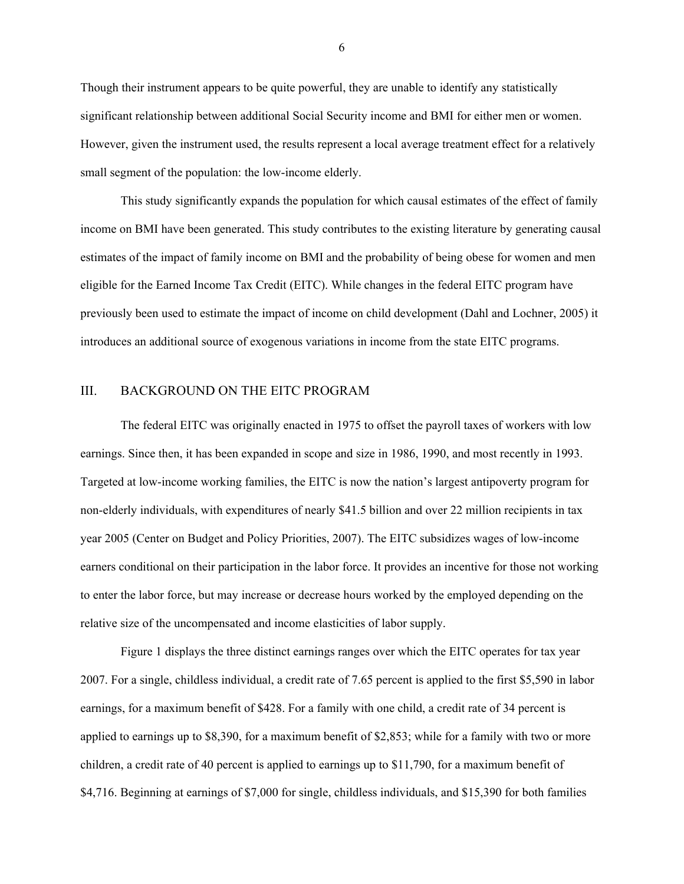Though their instrument appears to be quite powerful, they are unable to identify any statistically significant relationship between additional Social Security income and BMI for either men or women. However, given the instrument used, the results represent a local average treatment effect for a relatively small segment of the population: the low-income elderly.

This study significantly expands the population for which causal estimates of the effect of family income on BMI have been generated. This study contributes to the existing literature by generating causal estimates of the impact of family income on BMI and the probability of being obese for women and men eligible for the Earned Income Tax Credit (EITC). While changes in the federal EITC program have previously been used to estimate the impact of income on child development (Dahl and Lochner, 2005) it introduces an additional source of exogenous variations in income from the state EITC programs.

## III. BACKGROUND ON THE EITC PROGRAM

The federal EITC was originally enacted in 1975 to offset the payroll taxes of workers with low earnings. Since then, it has been expanded in scope and size in 1986, 1990, and most recently in 1993. Targeted at low-income working families, the EITC is now the nation's largest antipoverty program for non-elderly individuals, with expenditures of nearly \$41.5 billion and over 22 million recipients in tax year 2005 (Center on Budget and Policy Priorities, 2007). The EITC subsidizes wages of low-income earners conditional on their participation in the labor force. It provides an incentive for those not working to enter the labor force, but may increase or decrease hours worked by the employed depending on the relative size of the uncompensated and income elasticities of labor supply.

Figure 1 displays the three distinct earnings ranges over which the EITC operates for tax year 2007. For a single, childless individual, a credit rate of 7.65 percent is applied to the first \$5,590 in labor earnings, for a maximum benefit of \$428. For a family with one child, a credit rate of 34 percent is applied to earnings up to \$8,390, for a maximum benefit of \$2,853; while for a family with two or more children, a credit rate of 40 percent is applied to earnings up to \$11,790, for a maximum benefit of \$4,716. Beginning at earnings of \$7,000 for single, childless individuals, and \$15,390 for both families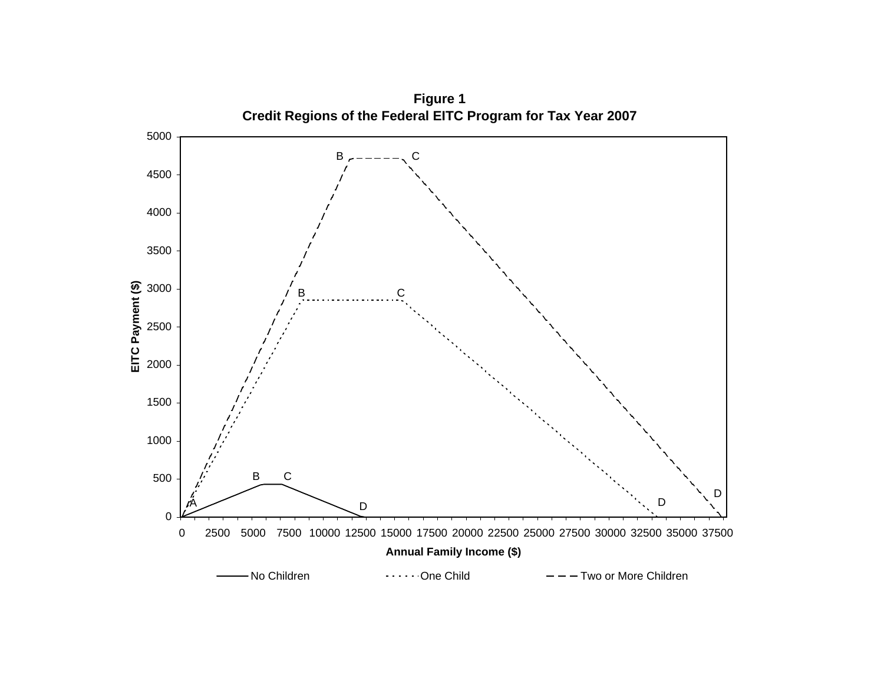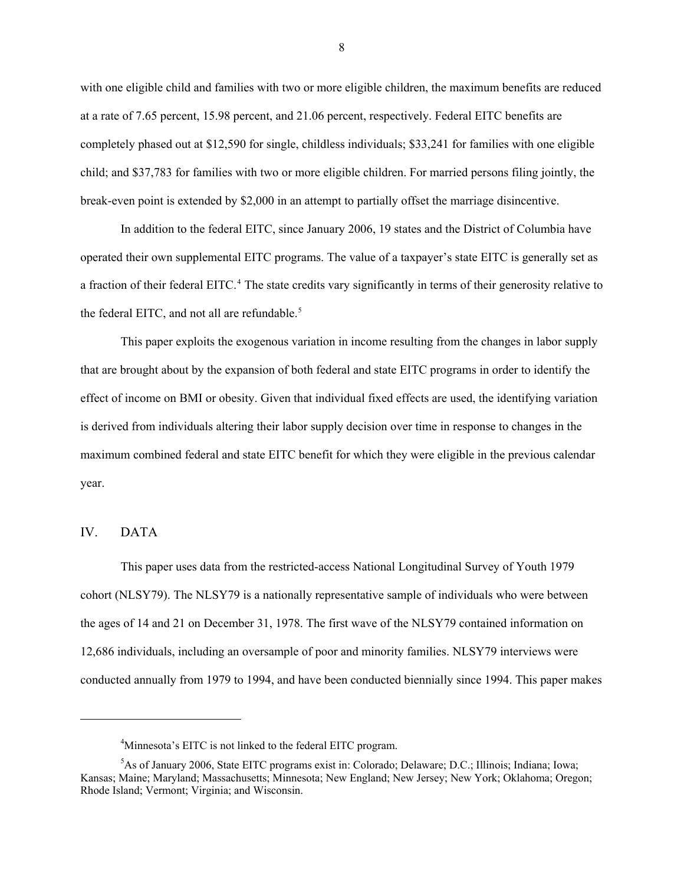with one eligible child and families with two or more eligible children, the maximum benefits are reduced at a rate of 7.65 percent, 15.98 percent, and 21.06 percent, respectively. Federal EITC benefits are completely phased out at \$12,590 for single, childless individuals; \$33,241 for families with one eligible child; and \$37,783 for families with two or more eligible children. For married persons filing jointly, the break-even point is extended by \$2,000 in an attempt to partially offset the marriage disincentive.

In addition to the federal EITC, since January 2006, 19 states and the District of Columbia have operated their own supplemental EITC programs. The value of a taxpayer's state EITC is generally set as a fraction of their federal EITC.<sup>[4](#page-9-0)</sup> The state credits vary significantly in terms of their generosity relative to the federal EITC, and not all are refundable.<sup>[5](#page-9-1)</sup>

This paper exploits the exogenous variation in income resulting from the changes in labor supply that are brought about by the expansion of both federal and state EITC programs in order to identify the effect of income on BMI or obesity. Given that individual fixed effects are used, the identifying variation is derived from individuals altering their labor supply decision over time in response to changes in the maximum combined federal and state EITC benefit for which they were eligible in the previous calendar year.

## IV. DATA

l

This paper uses data from the restricted-access National Longitudinal Survey of Youth 1979 cohort (NLSY79). The NLSY79 is a nationally representative sample of individuals who were between the ages of 14 and 21 on December 31, 1978. The first wave of the NLSY79 contained information on 12,686 individuals, including an oversample of poor and minority families. NLSY79 interviews were conducted annually from 1979 to 1994, and have been conducted biennially since 1994. This paper makes

<sup>&</sup>lt;sup>4</sup>Minnesota's EITC is not linked to the federal EITC program.

<span id="page-9-1"></span><span id="page-9-0"></span><sup>5</sup> As of January 2006, State EITC programs exist in: Colorado; Delaware; D.C.; Illinois; Indiana; Iowa; Kansas; Maine; Maryland; Massachusetts; Minnesota; New England; New Jersey; New York; Oklahoma; Oregon; Rhode Island; Vermont; Virginia; and Wisconsin.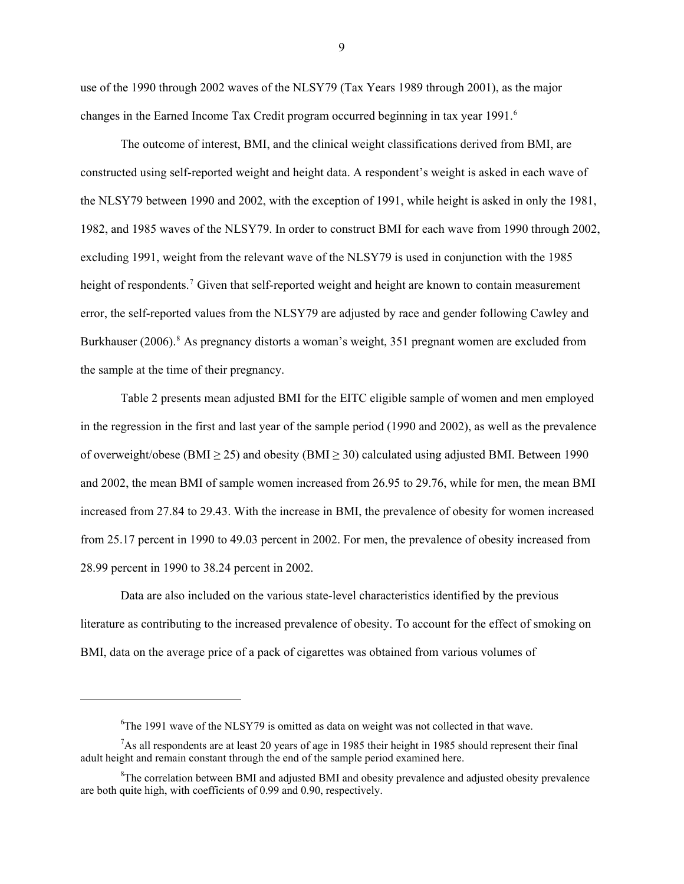use of the 1990 through 2002 waves of the NLSY79 (Tax Years 1989 through 2001), as the major changes in the Earned Income Tax Credit program occurred beginning in tax year 1991.<sup>[6](#page-10-0)</sup>

The outcome of interest, BMI, and the clinical weight classifications derived from BMI, are constructed using self-reported weight and height data. A respondent's weight is asked in each wave of the NLSY79 between 1990 and 2002, with the exception of 1991, while height is asked in only the 1981, 1982, and 1985 waves of the NLSY79. In order to construct BMI for each wave from 1990 through 2002, excluding 1991, weight from the relevant wave of the NLSY79 is used in conjunction with the 1985 height of respondents.<sup>[7](#page-10-1)</sup> Given that self-reported weight and height are known to contain measurement error, the self-reported values from the NLSY79 are adjusted by race and gender following Cawley and Burkhauser (2006).<sup>[8](#page-10-2)</sup> As pregnancy distorts a woman's weight, 351 pregnant women are excluded from the sample at the time of their pregnancy.

Table 2 presents mean adjusted BMI for the EITC eligible sample of women and men employed in the regression in the first and last year of the sample period (1990 and 2002), as well as the prevalence of overweight/obese (BMI  $\geq$  25) and obesity (BMI  $\geq$  30) calculated using adjusted BMI. Between 1990 and 2002, the mean BMI of sample women increased from 26.95 to 29.76, while for men, the mean BMI increased from 27.84 to 29.43. With the increase in BMI, the prevalence of obesity for women increased from 25.17 percent in 1990 to 49.03 percent in 2002. For men, the prevalence of obesity increased from 28.99 percent in 1990 to 38.24 percent in 2002.

Data are also included on the various state-level characteristics identified by the previous literature as contributing to the increased prevalence of obesity. To account for the effect of smoking on BMI, data on the average price of a pack of cigarettes was obtained from various volumes of

l

<sup>&</sup>lt;sup>6</sup>The 1991 wave of the NLSY79 is omitted as data on weight was not collected in that wave.

<span id="page-10-1"></span><span id="page-10-0"></span> $7$ As all respondents are at least 20 years of age in 1985 their height in 1985 should represent their final adult height and remain constant through the end of the sample period examined here.

<span id="page-10-2"></span><sup>&</sup>lt;sup>8</sup>The correlation between BMI and adjusted BMI and obesity prevalence and adjusted obesity prevalence are both quite high, with coefficients of 0.99 and 0.90, respectively.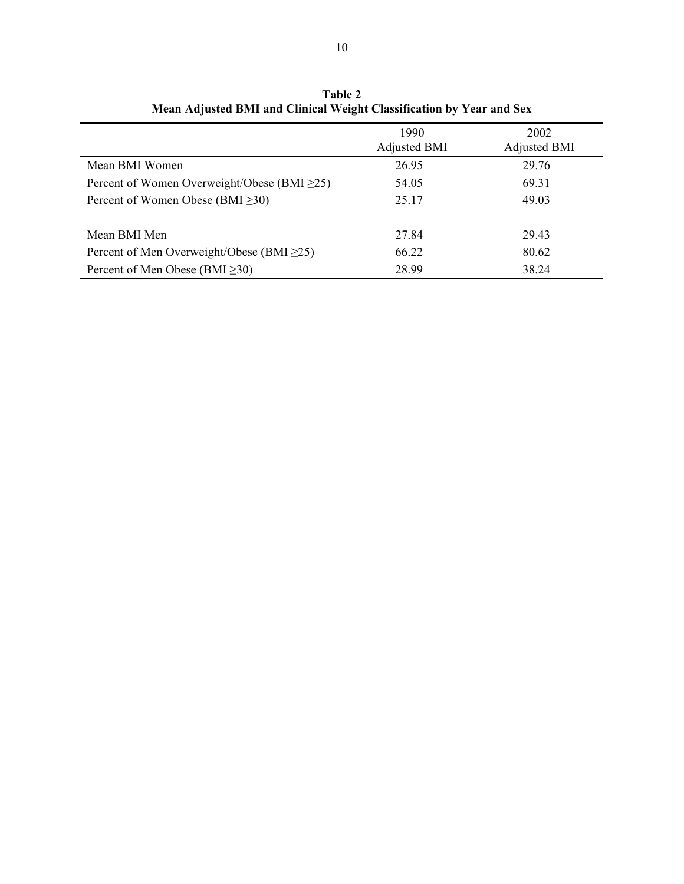|                                                   | 1990<br><b>Adjusted BMI</b> | 2002<br><b>Adjusted BMI</b> |
|---------------------------------------------------|-----------------------------|-----------------------------|
| Mean BMI Women                                    | 26.95                       | 29.76                       |
| Percent of Women Overweight/Obese (BMI $\geq$ 25) | 54.05                       | 69.31                       |
| Percent of Women Obese (BMI $\geq$ 30)            | 25.17                       | 49.03                       |
|                                                   |                             |                             |
| Mean BMI Men                                      | 27.84                       | 29.43                       |
| Percent of Men Overweight/Obese (BMI $\geq$ 25)   | 66.22                       | 80.62                       |
| Percent of Men Obese (BMI $\geq$ 30)              | 28.99                       | 38.24                       |

**Table 2 Mean Adjusted BMI and Clinical Weight Classification by Year and Sex**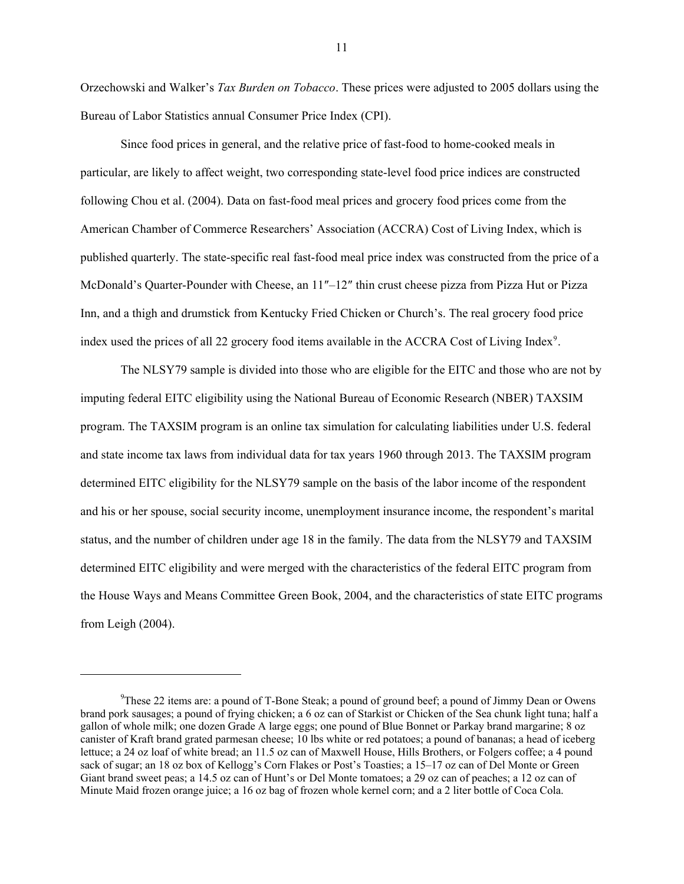Orzechowski and Walker's *Tax Burden on Tobacco*. These prices were adjusted to 2005 dollars using the Bureau of Labor Statistics annual Consumer Price Index (CPI).

Since food prices in general, and the relative price of fast-food to home-cooked meals in particular, are likely to affect weight, two corresponding state-level food price indices are constructed following Chou et al. (2004). Data on fast-food meal prices and grocery food prices come from the American Chamber of Commerce Researchers' Association (ACCRA) Cost of Living Index, which is published quarterly. The state-specific real fast-food meal price index was constructed from the price of a McDonald's Quarter-Pounder with Cheese, an 11″–12″ thin crust cheese pizza from Pizza Hut or Pizza Inn, and a thigh and drumstick from Kentucky Fried Chicken or Church's. The real grocery food price index used the prices of all 22 grocery food items available in the ACCRA Cost of Living Index<sup>[9](#page-12-0)</sup>.

The NLSY79 sample is divided into those who are eligible for the EITC and those who are not by imputing federal EITC eligibility using the National Bureau of Economic Research (NBER) TAXSIM program. The TAXSIM program is an online tax simulation for calculating liabilities under U.S. federal and state income tax laws from individual data for tax years 1960 through 2013. The TAXSIM program determined EITC eligibility for the NLSY79 sample on the basis of the labor income of the respondent and his or her spouse, social security income, unemployment insurance income, the respondent's marital status, and the number of children under age 18 in the family. The data from the NLSY79 and TAXSIM determined EITC eligibility and were merged with the characteristics of the federal EITC program from the House Ways and Means Committee Green Book, 2004, and the characteristics of state EITC programs from Leigh (2004).

-

<span id="page-12-0"></span><sup>&</sup>lt;sup>9</sup>These 22 items are: a pound of T-Bone Steak; a pound of ground beef; a pound of Jimmy Dean or Owens brand pork sausages; a pound of frying chicken; a 6 oz can of Starkist or Chicken of the Sea chunk light tuna; half a gallon of whole milk; one dozen Grade A large eggs; one pound of Blue Bonnet or Parkay brand margarine; 8 oz canister of Kraft brand grated parmesan cheese; 10 lbs white or red potatoes; a pound of bananas; a head of iceberg lettuce; a 24 oz loaf of white bread; an 11.5 oz can of Maxwell House, Hills Brothers, or Folgers coffee; a 4 pound sack of sugar; an 18 oz box of Kellogg's Corn Flakes or Post's Toasties; a 15–17 oz can of Del Monte or Green Giant brand sweet peas; a 14.5 oz can of Hunt's or Del Monte tomatoes; a 29 oz can of peaches; a 12 oz can of Minute Maid frozen orange juice; a 16 oz bag of frozen whole kernel corn; and a 2 liter bottle of Coca Cola.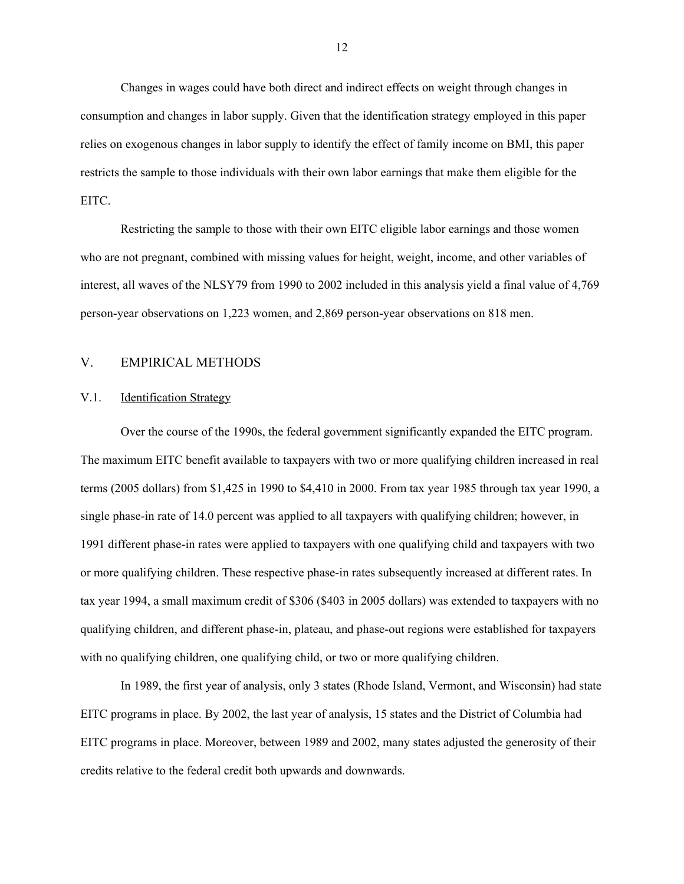Changes in wages could have both direct and indirect effects on weight through changes in consumption and changes in labor supply. Given that the identification strategy employed in this paper relies on exogenous changes in labor supply to identify the effect of family income on BMI, this paper restricts the sample to those individuals with their own labor earnings that make them eligible for the EITC.

Restricting the sample to those with their own EITC eligible labor earnings and those women who are not pregnant, combined with missing values for height, weight, income, and other variables of interest, all waves of the NLSY79 from 1990 to 2002 included in this analysis yield a final value of 4,769 person-year observations on 1,223 women, and 2,869 person-year observations on 818 men.

# V. EMPIRICAL METHODS

### V.1. Identification Strategy

Over the course of the 1990s, the federal government significantly expanded the EITC program. The maximum EITC benefit available to taxpayers with two or more qualifying children increased in real terms (2005 dollars) from \$1,425 in 1990 to \$4,410 in 2000. From tax year 1985 through tax year 1990, a single phase-in rate of 14.0 percent was applied to all taxpayers with qualifying children; however, in 1991 different phase-in rates were applied to taxpayers with one qualifying child and taxpayers with two or more qualifying children. These respective phase-in rates subsequently increased at different rates. In tax year 1994, a small maximum credit of \$306 (\$403 in 2005 dollars) was extended to taxpayers with no qualifying children, and different phase-in, plateau, and phase-out regions were established for taxpayers with no qualifying children, one qualifying child, or two or more qualifying children.

In 1989, the first year of analysis, only 3 states (Rhode Island, Vermont, and Wisconsin) had state EITC programs in place. By 2002, the last year of analysis, 15 states and the District of Columbia had EITC programs in place. Moreover, between 1989 and 2002, many states adjusted the generosity of their credits relative to the federal credit both upwards and downwards.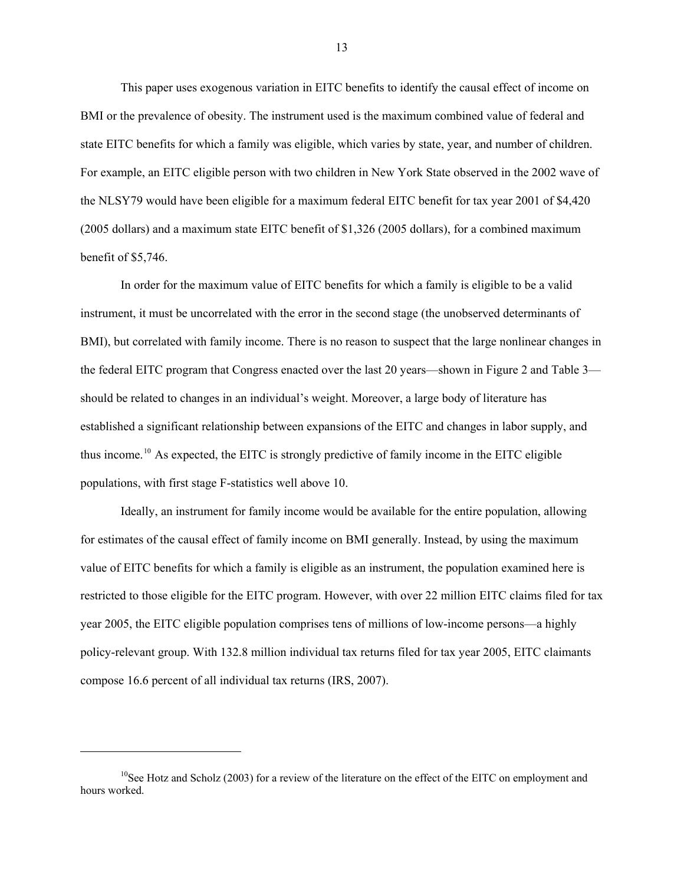This paper uses exogenous variation in EITC benefits to identify the causal effect of income on BMI or the prevalence of obesity. The instrument used is the maximum combined value of federal and state EITC benefits for which a family was eligible, which varies by state, year, and number of children. For example, an EITC eligible person with two children in New York State observed in the 2002 wave of the NLSY79 would have been eligible for a maximum federal EITC benefit for tax year 2001 of \$4,420 (2005 dollars) and a maximum state EITC benefit of \$1,326 (2005 dollars), for a combined maximum benefit of \$5,746.

In order for the maximum value of EITC benefits for which a family is eligible to be a valid instrument, it must be uncorrelated with the error in the second stage (the unobserved determinants of BMI), but correlated with family income. There is no reason to suspect that the large nonlinear changes in the federal EITC program that Congress enacted over the last 20 years—shown in Figure 2 and Table 3 should be related to changes in an individual's weight. Moreover, a large body of literature has established a significant relationship between expansions of the EITC and changes in labor supply, and thus income.[10](#page-14-0) As expected, the EITC is strongly predictive of family income in the EITC eligible populations, with first stage F-statistics well above 10.

Ideally, an instrument for family income would be available for the entire population, allowing for estimates of the causal effect of family income on BMI generally. Instead, by using the maximum value of EITC benefits for which a family is eligible as an instrument, the population examined here is restricted to those eligible for the EITC program. However, with over 22 million EITC claims filed for tax year 2005, the EITC eligible population comprises tens of millions of low-income persons—a highly policy-relevant group. With 132.8 million individual tax returns filed for tax year 2005, EITC claimants compose 16.6 percent of all individual tax returns (IRS, 2007).

1

<span id="page-14-0"></span><sup>&</sup>lt;sup>10</sup>See Hotz and Scholz (2003) for a review of the literature on the effect of the EITC on employment and hours worked.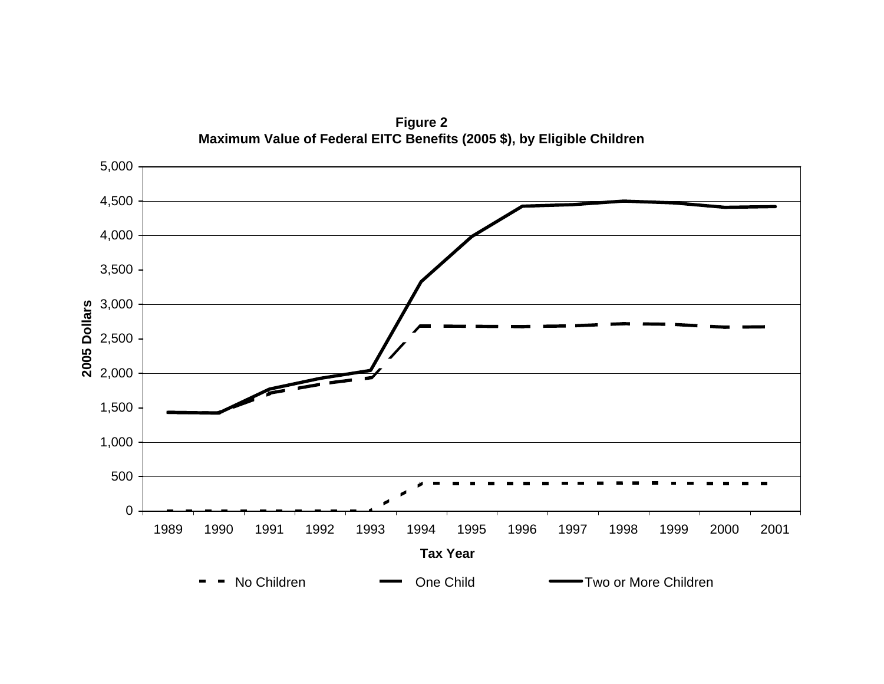

**Figure 2 Maximum Value of Federal EITC Benefits (2005 \$), by Eligible Children**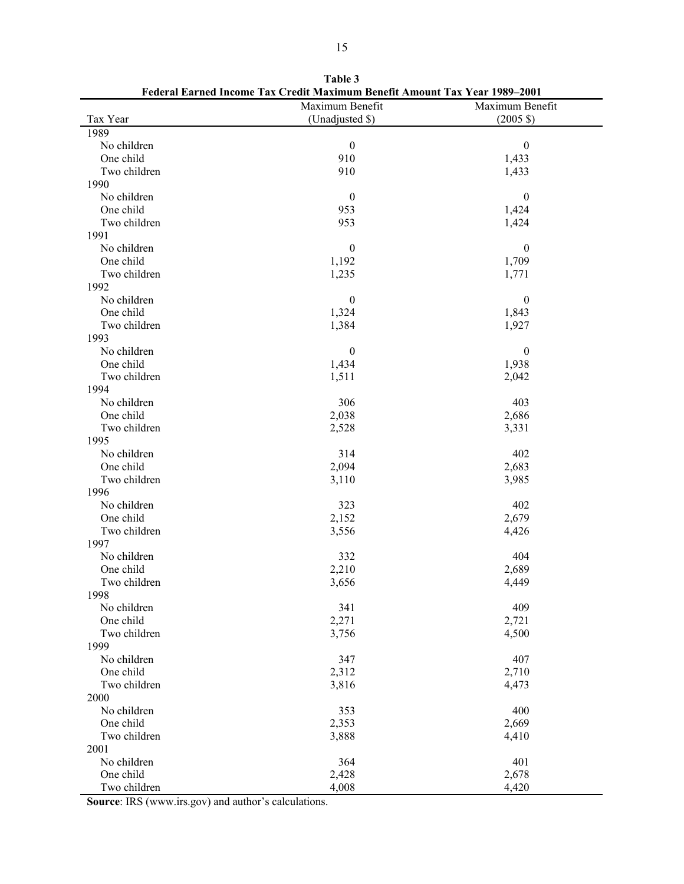|              | Maximum Benefit  | Maximum Benefit     |
|--------------|------------------|---------------------|
| Tax Year     | (Unadjusted \$)  | $(2005 \text{ } $)$ |
| 1989         |                  |                     |
| No children  | $\boldsymbol{0}$ | $\boldsymbol{0}$    |
| One child    | 910              | 1,433               |
| Two children | 910              | 1,433               |
| 1990         |                  |                     |
| No children  | $\boldsymbol{0}$ | $\boldsymbol{0}$    |
| One child    | 953              | 1,424               |
| Two children | 953              | 1,424               |
| 1991         |                  |                     |
| No children  | $\boldsymbol{0}$ | $\boldsymbol{0}$    |
| One child    | 1,192            | 1,709               |
| Two children | 1,235            | 1,771               |
| 1992         |                  |                     |
| No children  | $\boldsymbol{0}$ | $\boldsymbol{0}$    |
| One child    | 1,324            | 1,843               |
| Two children | 1,384            | 1,927               |
| 1993         |                  |                     |
| No children  | $\boldsymbol{0}$ | $\boldsymbol{0}$    |
| One child    | 1,434            | 1,938               |
| Two children | 1,511            | 2,042               |
| 1994         |                  |                     |
| No children  | 306              | 403                 |
| One child    | 2,038            | 2,686               |
| Two children | 2,528            | 3,331               |
| 1995         |                  |                     |
| No children  | 314              | 402                 |
| One child    | 2,094            | 2,683               |
| Two children | 3,110            | 3,985               |
| 1996         |                  |                     |
| No children  | 323              | 402                 |
| One child    | 2,152            | 2,679               |
| Two children | 3,556            | 4,426               |
| 1997         |                  |                     |
| No children  | 332              | 404                 |
| One child    | 2,210            | 2,689               |
| Two children | 3,656            | 4,449               |
| 1998         |                  |                     |
| No children  | 341              | 409                 |
| One child    | 2,271            | 2,721               |
| Two children | 3,756            | 4,500               |
| 1999         |                  |                     |
| No children  | 347              | 407                 |
| One child    | 2,312            | 2,710               |
| Two children | 3,816            | 4,473               |
| 2000         |                  |                     |
| No children  | 353              | 400                 |
| One child    | 2,353            | 2,669               |
| Two children | 3,888            | 4,410               |
| 2001         |                  |                     |
| No children  | 364              | 401                 |
| One child    | 2,428            | 2,678               |
| Two children | 4,008            | 4,420               |

**Table 3 Federal Earned Income Tax Credit Maximum Benefit Amount Tax Year 1989–2001** 

**Source**: IRS (www.irs.gov) and author's calculations.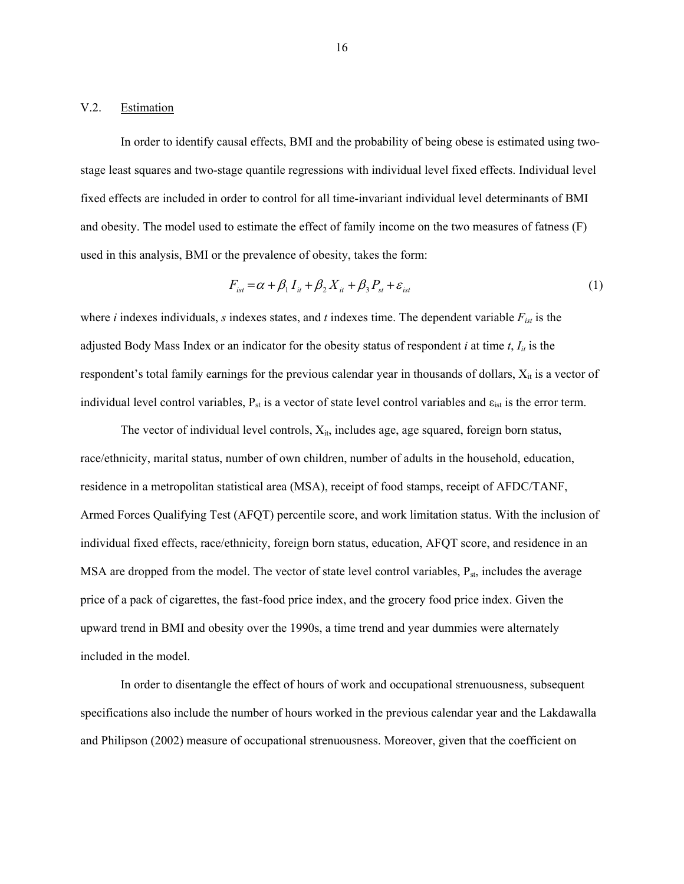### V.2. Estimation

In order to identify causal effects, BMI and the probability of being obese is estimated using twostage least squares and two-stage quantile regressions with individual level fixed effects. Individual level fixed effects are included in order to control for all time-invariant individual level determinants of BMI and obesity. The model used to estimate the effect of family income on the two measures of fatness (F) used in this analysis, BMI or the prevalence of obesity, takes the form:

$$
F_{ist} = \alpha + \beta_1 I_{it} + \beta_2 X_{it} + \beta_3 P_{st} + \varepsilon_{ist}
$$
 (1)

where  $i$  indexes individuals,  $s$  indexes states, and  $t$  indexes time. The dependent variable  $F_{ist}$  is the adjusted Body Mass Index or an indicator for the obesity status of respondent  $i$  at time  $t$ ,  $I_{it}$  is the respondent's total family earnings for the previous calendar year in thousands of dollars,  $X_{it}$  is a vector of individual level control variables,  $P_{st}$  is a vector of state level control variables and  $\varepsilon_{ist}$  is the error term.

The vector of individual level controls,  $X_{it}$ , includes age, age squared, foreign born status, race/ethnicity, marital status, number of own children, number of adults in the household, education, residence in a metropolitan statistical area (MSA), receipt of food stamps, receipt of AFDC/TANF, Armed Forces Qualifying Test (AFQT) percentile score, and work limitation status. With the inclusion of individual fixed effects, race/ethnicity, foreign born status, education, AFQT score, and residence in an MSA are dropped from the model. The vector of state level control variables,  $P_{st}$ , includes the average price of a pack of cigarettes, the fast-food price index, and the grocery food price index. Given the upward trend in BMI and obesity over the 1990s, a time trend and year dummies were alternately included in the model.

In order to disentangle the effect of hours of work and occupational strenuousness, subsequent specifications also include the number of hours worked in the previous calendar year and the Lakdawalla and Philipson (2002) measure of occupational strenuousness. Moreover, given that the coefficient on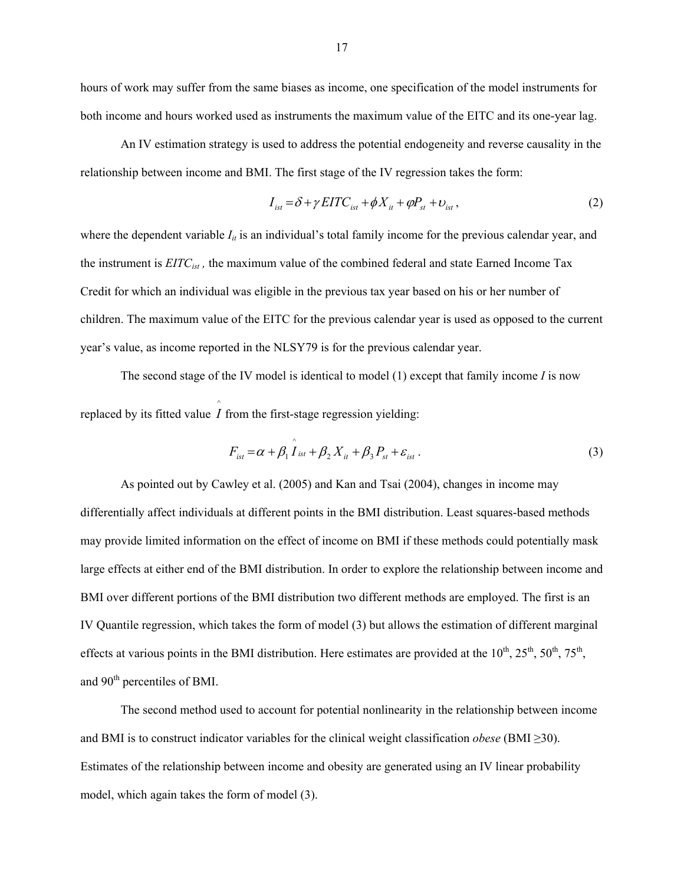hours of work may suffer from the same biases as income, one specification of the model instruments for both income and hours worked used as instruments the maximum value of the EITC and its one-year lag.

An IV estimation strategy is used to address the potential endogeneity and reverse causality in the relationship between income and BMI. The first stage of the IV regression takes the form:

$$
I_{\text{ist}} = \delta + \gamma EITC_{\text{ist}} + \phi X_{\text{it}} + \phi P_{\text{st}} + \upsilon_{\text{ist}}\,,\tag{2}
$$

where the dependent variable  $I_{ii}$  is an individual's total family income for the previous calendar year, and the instrument is *EITCist ,* the maximum value of the combined federal and state Earned Income Tax Credit for which an individual was eligible in the previous tax year based on his or her number of children. The maximum value of the EITC for the previous calendar year is used as opposed to the current year's value, as income reported in the NLSY79 is for the previous calendar year.

The second stage of the IV model is identical to model (1) except that family income *I* is now replaced by its fitted value  $\hat{I}$  from the first-stage regression yielding:

$$
F_{\text{ist}} = \alpha + \beta_1 \hat{I}_{\text{ist}} + \beta_2 X_{\text{it}} + \beta_3 P_{\text{st}} + \varepsilon_{\text{ist}}.
$$
 (3)

As pointed out by Cawley et al. (2005) and Kan and Tsai (2004), changes in income may differentially affect individuals at different points in the BMI distribution. Least squares-based methods may provide limited information on the effect of income on BMI if these methods could potentially mask large effects at either end of the BMI distribution. In order to explore the relationship between income and BMI over different portions of the BMI distribution two different methods are employed. The first is an IV Quantile regression, which takes the form of model (3) but allows the estimation of different marginal effects at various points in the BMI distribution. Here estimates are provided at the  $10^{th}$ ,  $25^{th}$ ,  $50^{th}$ ,  $75^{th}$ , and 90<sup>th</sup> percentiles of BMI.

The second method used to account for potential nonlinearity in the relationship between income and BMI is to construct indicator variables for the clinical weight classification *obese* (BMI ≥30). Estimates of the relationship between income and obesity are generated using an IV linear probability model, which again takes the form of model (3).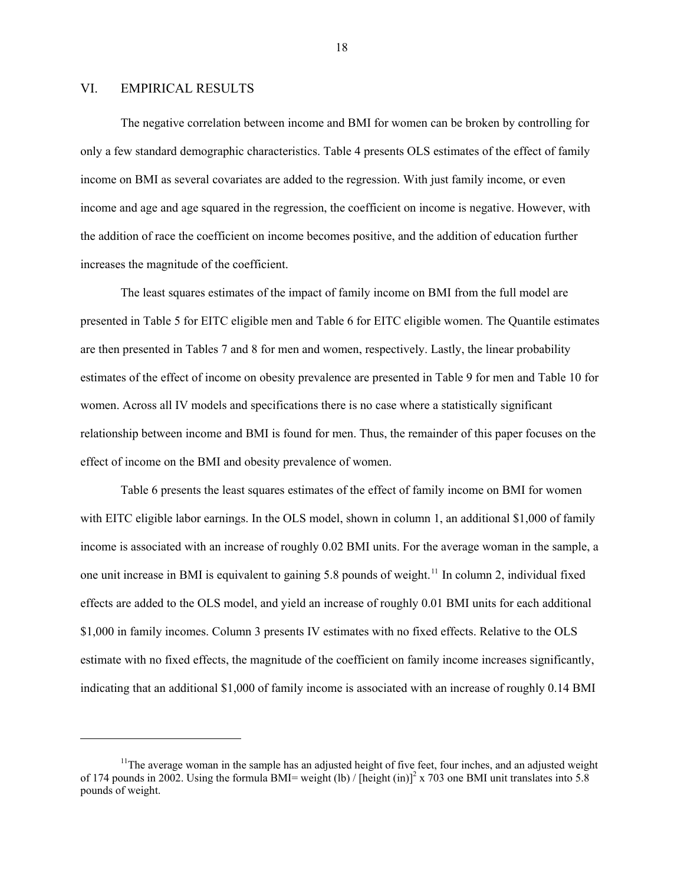## <span id="page-19-0"></span>VI. EMPIRICAL RESULTS

-

The negative correlation between income and BMI for women can be broken by controlling for only a few standard demographic characteristics. Table 4 presents OLS estimates of the effect of family income on BMI as several covariates are added to the regression. With just family income, or even income and age and age squared in the regression, the coefficient on income is negative. However, with the addition of race the coefficient on income becomes positive, and the addition of education further increases the magnitude of the coefficient.

The least squares estimates of the impact of family income on BMI from the full model are presented in Table 5 for EITC eligible men and Table 6 for EITC eligible women. The Quantile estimates are then presented in Tables 7 and 8 for men and women, respectively. Lastly, the linear probability estimates of the effect of income on obesity prevalence are presented in Table 9 for men and Table 10 for women. Across all IV models and specifications there is no case where a statistically significant relationship between income and BMI is found for men. Thus, the remainder of this paper focuses on the effect of income on the BMI and obesity prevalence of women.

Table 6 presents the least squares estimates of the effect of family income on BMI for women with EITC eligible labor earnings. In the OLS model, shown in column 1, an additional \$1,000 of family income is associated with an increase of roughly 0.02 BMI units. For the average woman in the sample, a one unit increase in BMI is equivalent to gaining 5.8 pounds of weight.<sup>[11](#page-19-0)</sup> In column 2, individual fixed effects are added to the OLS model, and yield an increase of roughly 0.01 BMI units for each additional \$1,000 in family incomes. Column 3 presents IV estimates with no fixed effects. Relative to the OLS estimate with no fixed effects, the magnitude of the coefficient on family income increases significantly, indicating that an additional \$1,000 of family income is associated with an increase of roughly 0.14 BMI

 $11$ The average woman in the sample has an adjusted height of five feet, four inches, and an adjusted weight of 174 pounds in 2002. Using the formula BMI= weight (lb) / [height (in)]<sup>2</sup> x 703 one BMI unit translates into 5.8 pounds of weight.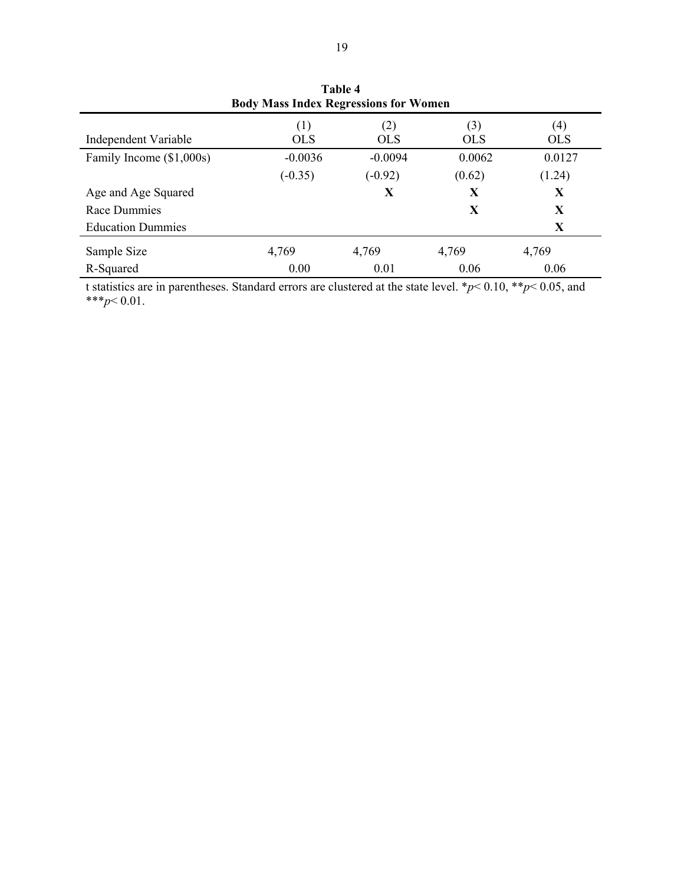| <b>DOUY MASS HIGHT REGI ESSIONS TOT WOMEN</b> |                   |                   |                   |                   |  |  |  |  |  |
|-----------------------------------------------|-------------------|-------------------|-------------------|-------------------|--|--|--|--|--|
| Independent Variable                          | (1)<br><b>OLS</b> | (2)<br><b>OLS</b> | (3)<br><b>OLS</b> | (4)<br><b>OLS</b> |  |  |  |  |  |
| Family Income (\$1,000s)                      | $-0.0036$         | $-0.0094$         | 0.0062            | 0.0127            |  |  |  |  |  |
|                                               | $(-0.35)$         | $(-0.92)$         | (0.62)            | (1.24)            |  |  |  |  |  |
| Age and Age Squared                           |                   | X                 | X                 | X                 |  |  |  |  |  |
| Race Dummies                                  |                   |                   | X                 | X                 |  |  |  |  |  |
| <b>Education Dummies</b>                      |                   |                   |                   | X                 |  |  |  |  |  |
| Sample Size                                   | 4,769             | 4,769             | 4,769             | 4,769             |  |  |  |  |  |
| R-Squared                                     | 0.00              | 0.01              | 0.06              | 0.06              |  |  |  |  |  |

**Table 4 Body Mass Index Regressions for Women** 

t statistics are in parentheses. Standard errors are clustered at the state level. \**p*< 0.10, \*\**p*< 0.05, and \*\*\**p*< 0.01.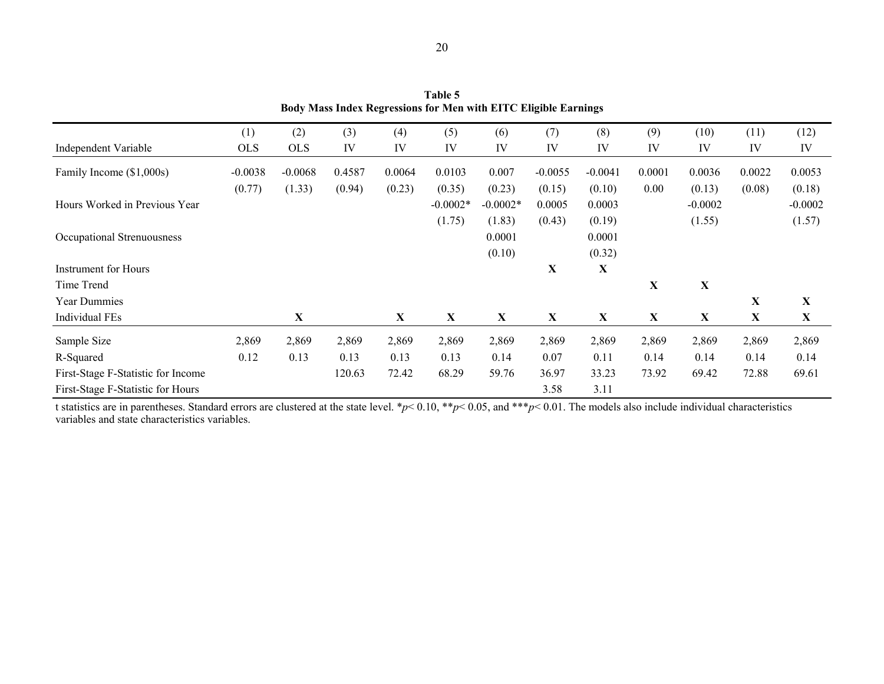**Table 5 Body Mass Index Regressions for Men with EITC Eligible Earnings** 

|                                    | (1)        | (2)        | (3)    | (4)         | (5)        | (6)        | (7)       | (8)       | (9)    | (10)      | (11)        | (12)      |
|------------------------------------|------------|------------|--------|-------------|------------|------------|-----------|-----------|--------|-----------|-------------|-----------|
| Independent Variable               | <b>OLS</b> | <b>OLS</b> | IV     | IV          | IV         | IV         | IV        | IV        | IV     | IV        | IV          | IV        |
| Family Income (\$1,000s)           | $-0.0038$  | $-0.0068$  | 0.4587 | 0.0064      | 0.0103     | 0.007      | $-0.0055$ | $-0.0041$ | 0.0001 | 0.0036    | 0.0022      | 0.0053    |
|                                    | (0.77)     | (1.33)     | (0.94) | (0.23)      | (0.35)     | (0.23)     | (0.15)    | (0.10)    | 0.00   | (0.13)    | (0.08)      | (0.18)    |
| Hours Worked in Previous Year      |            |            |        |             | $-0.0002*$ | $-0.0002*$ | 0.0005    | 0.0003    |        | $-0.0002$ |             | $-0.0002$ |
|                                    |            |            |        |             | (1.75)     | (1.83)     | (0.43)    | (0.19)    |        | (1.55)    |             | (1.57)    |
| Occupational Strenuousness         |            |            |        |             |            | 0.0001     |           | 0.0001    |        |           |             |           |
|                                    |            |            |        |             |            | (0.10)     |           | (0.32)    |        |           |             |           |
| <b>Instrument for Hours</b>        |            |            |        |             |            |            | X         | X         |        |           |             |           |
| Time Trend                         |            |            |        |             |            |            |           |           | X      | X         |             |           |
| <b>Year Dummies</b>                |            |            |        |             |            |            |           |           |        |           | $\mathbf X$ | X         |
| <b>Individual FEs</b>              |            | X          |        | $\mathbf X$ | X          | X          | X         | X         | X      | X         | $\mathbf X$ | X         |
| Sample Size                        | 2,869      | 2,869      | 2,869  | 2,869       | 2,869      | 2,869      | 2,869     | 2,869     | 2,869  | 2,869     | 2,869       | 2,869     |
| R-Squared                          | 0.12       | 0.13       | 0.13   | 0.13        | 0.13       | 0.14       | 0.07      | 0.11      | 0.14   | 0.14      | 0.14        | 0.14      |
| First-Stage F-Statistic for Income |            |            | 120.63 | 72.42       | 68.29      | 59.76      | 36.97     | 33.23     | 73.92  | 69.42     | 72.88       | 69.61     |
| First-Stage F-Statistic for Hours  |            |            |        |             |            |            | 3.58      | 3.11      |        |           |             |           |

t statistics are in parentheses. Standard errors are clustered at the state level. \**p*< 0.10, \*\**p*< 0.05, and \*\*\**p*< 0.01. The models also include individual characteristics variables and state characteristics variables.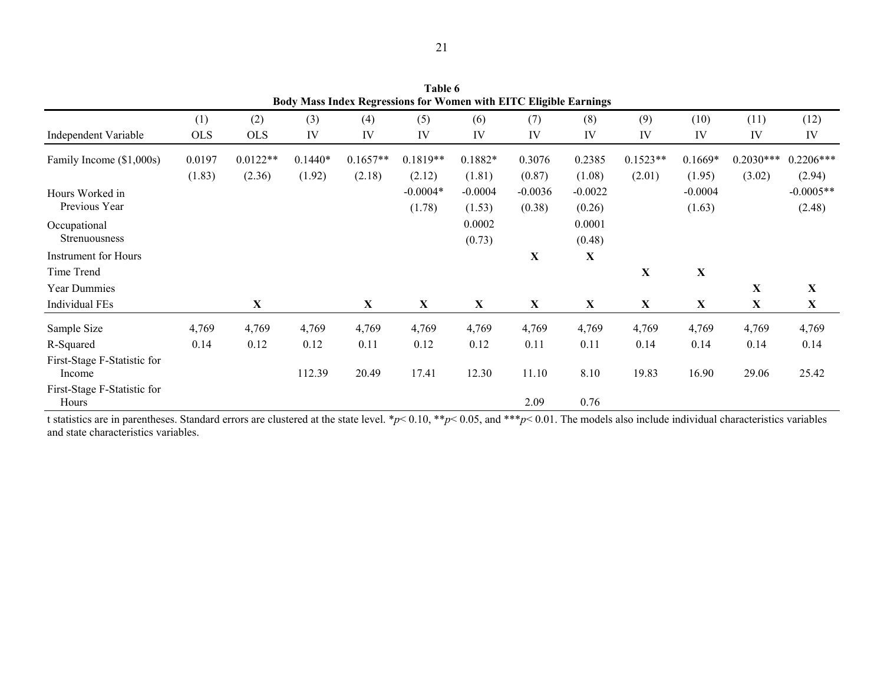| Body Mass Index Regressions for Women with EITC Eligible Earnings |            |            |           |             |            |           |             |             |             |             |              |             |
|-------------------------------------------------------------------|------------|------------|-----------|-------------|------------|-----------|-------------|-------------|-------------|-------------|--------------|-------------|
|                                                                   | (1)        | (2)        | (3)       | (4)         | (5)        | (6)       | (7)         | (8)         | (9)         | (10)        | (11)         | (12)        |
| Independent Variable                                              | <b>OLS</b> | <b>OLS</b> | IV        | IV          | IV         | IV        | IV          | IV          | IV          | IV          | IV           | IV          |
| Family Income (\$1,000s)                                          | 0.0197     | $0.0122**$ | $0.1440*$ | $0.1657**$  | $0.1819**$ | $0.1882*$ | 0.3076      | 0.2385      | $0.1523**$  | $0.1669*$   | $0.2030***$  | $0.2206***$ |
|                                                                   | (1.83)     | (2.36)     | (1.92)    | (2.18)      | (2.12)     | (1.81)    | (0.87)      | (1.08)      | (2.01)      | (1.95)      | (3.02)       | (2.94)      |
| Hours Worked in                                                   |            |            |           |             | $-0.0004*$ | $-0.0004$ | $-0.0036$   | $-0.0022$   |             | $-0.0004$   |              | $-0.0005**$ |
| Previous Year                                                     |            |            |           |             | (1.78)     | (1.53)    | (0.38)      | (0.26)      |             | (1.63)      |              | (2.48)      |
| Occupational                                                      |            |            |           |             |            | 0.0002    |             | 0.0001      |             |             |              |             |
| <b>Strenuousness</b>                                              |            |            |           |             |            | (0.73)    |             | (0.48)      |             |             |              |             |
| <b>Instrument for Hours</b>                                       |            |            |           |             |            |           | $\mathbf X$ | $\mathbf X$ |             |             |              |             |
| Time Trend                                                        |            |            |           |             |            |           |             |             | X           | $\mathbf X$ |              |             |
| Year Dummies                                                      |            |            |           |             |            |           |             |             |             |             | $\mathbf X$  | X           |
| Individual FEs                                                    |            | X          |           | $\mathbf X$ | X          | X         | X           | X           | $\mathbf X$ | X           | $\mathbf{X}$ | $\mathbf X$ |
| Sample Size                                                       | 4,769      | 4,769      | 4,769     | 4,769       | 4,769      | 4,769     | 4,769       | 4,769       | 4,769       | 4,769       | 4,769        | 4,769       |
| R-Squared                                                         | 0.14       | 0.12       | 0.12      | 0.11        | 0.12       | 0.12      | 0.11        | 0.11        | 0.14        | 0.14        | 0.14         | 0.14        |
| First-Stage F-Statistic for<br>Income                             |            |            | 112.39    | 20.49       | 17.41      | 12.30     | 11.10       | 8.10        | 19.83       | 16.90       | 29.06        | 25.42       |
| First-Stage F-Statistic for<br>Hours                              |            |            |           |             |            |           | 2.09        | 0.76        |             |             |              |             |

**Table 6** 

t statistics are in parentheses. Standard errors are clustered at the state level. \**p*< 0.10, \*\**p*< 0.05, and \*\*\**p*< 0.01. The models also include individual characteristics variables and state characteristics variables.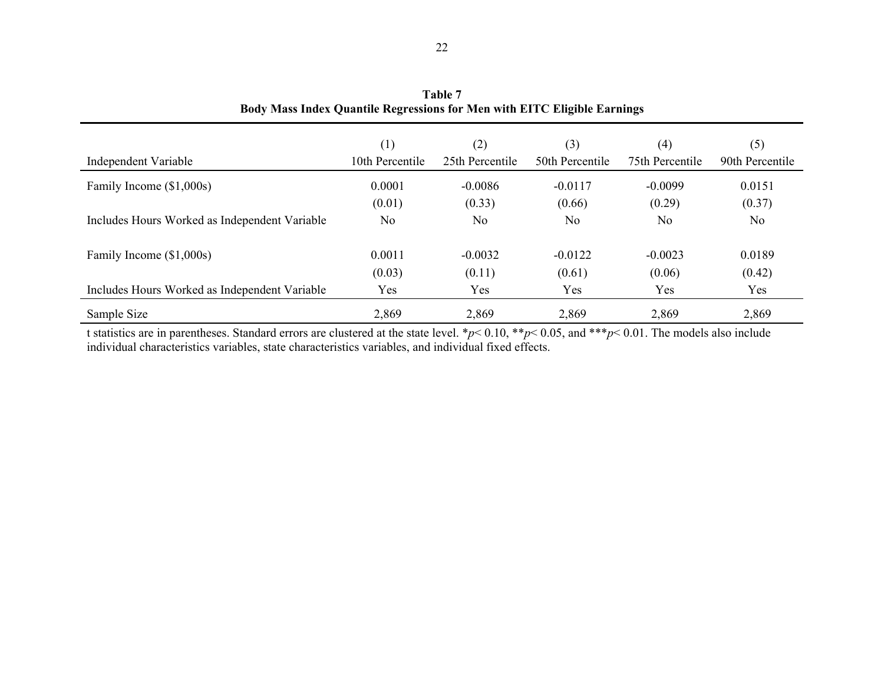|                                               | (1)             | (2)             | (3)             | (4)             | (5)             |
|-----------------------------------------------|-----------------|-----------------|-----------------|-----------------|-----------------|
| Independent Variable                          | 10th Percentile | 25th Percentile | 50th Percentile | 75th Percentile | 90th Percentile |
| Family Income (\$1,000s)                      | 0.0001          | $-0.0086$       | $-0.0117$       | $-0.0099$       | 0.0151          |
|                                               | (0.01)          | (0.33)          | (0.66)          | (0.29)          | (0.37)          |
| Includes Hours Worked as Independent Variable | N <sub>0</sub>  | N <sub>0</sub>  | N <sub>0</sub>  | N <sub>0</sub>  | No              |
| Family Income (\$1,000s)                      | 0.0011          | $-0.0032$       | $-0.0122$       | $-0.0023$       | 0.0189          |
|                                               | (0.03)          | (0.11)          | (0.61)          | (0.06)          | (0.42)          |
| Includes Hours Worked as Independent Variable | Yes             | Yes             | Yes             | Yes             | Yes             |
| Sample Size                                   | 2,869           | 2,869           | 2,869           | 2,869           | 2,869           |

**Table 7 Body Mass Index Quantile Regressions for Men with EITC Eligible Earnings** 

t statistics are in parentheses. Standard errors are clustered at the state level. \**p*< 0.10, \*\**p*< 0.05, and \*\*\**p*< 0.01. The models also include individual characteristics variables, state characteristics variables, and individual fixed effects.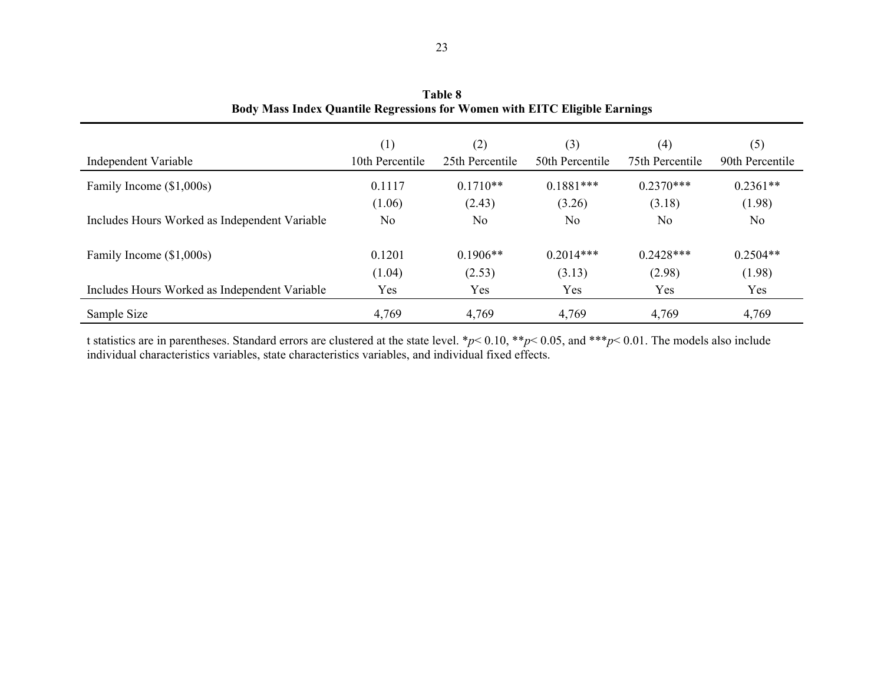| Independent Variable                          | (1)<br>10th Percentile | (2)<br>25th Percentile | (3)<br>50th Percentile | (4)<br>75th Percentile | (5)<br>90th Percentile |
|-----------------------------------------------|------------------------|------------------------|------------------------|------------------------|------------------------|
| Family Income (\$1,000s)                      | 0.1117                 | $0.1710**$             | $0.1881***$            | $0.2370***$            | $0.2361**$             |
|                                               | (1.06)                 | (2.43)                 | (3.26)                 | (3.18)                 | (1.98)                 |
| Includes Hours Worked as Independent Variable | N <sub>0</sub>         | N <sub>0</sub>         | No                     | N <sub>0</sub>         | No.                    |
| Family Income (\$1,000s)                      | 0.1201                 | $0.1906**$             | $0.2014***$            | $0.2428***$            | $0.2504**$             |
|                                               | (1.04)                 | (2.53)                 | (3.13)                 | (2.98)                 | (1.98)                 |
| Includes Hours Worked as Independent Variable | Yes                    | Yes                    | Yes                    | Yes                    | Yes                    |
| Sample Size                                   | 4,769                  | 4,769                  | 4,769                  | 4,769                  | 4,769                  |

**Table 8 Body Mass Index Quantile Regressions for Women with EITC Eligible Earnings** 

t statistics are in parentheses. Standard errors are clustered at the state level. \**p*< 0.10, \*\**p*< 0.05, and \*\*\**p*< 0.01. The models also include individual characteristics variables, state characteristics variables, and individual fixed effects.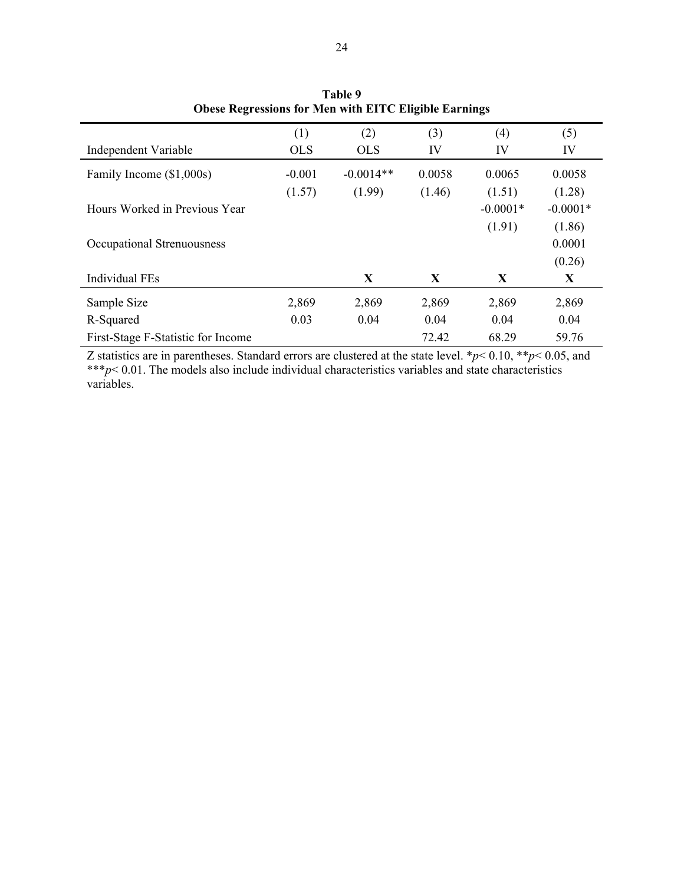|                                    | (1)        | (2)         | (3)    | (4)        | (5)        |
|------------------------------------|------------|-------------|--------|------------|------------|
| Independent Variable               | <b>OLS</b> | <b>OLS</b>  | IV     | IV         | IV         |
| Family Income (\$1,000s)           | $-0.001$   | $-0.0014**$ | 0.0058 | 0.0065     | 0.0058     |
|                                    | (1.57)     | (1.99)      | (1.46) | (1.51)     | (1.28)     |
| Hours Worked in Previous Year      |            |             |        | $-0.0001*$ | $-0.0001*$ |
|                                    |            |             |        | (1.91)     | (1.86)     |
| Occupational Strenuousness         |            |             |        |            | 0.0001     |
|                                    |            |             |        |            | (0.26)     |
| <b>Individual FEs</b>              |            | X           | X      | X          | X          |
| Sample Size                        | 2,869      | 2,869       | 2,869  | 2,869      | 2,869      |
| R-Squared                          | 0.03       | 0.04        | 0.04   | 0.04       | 0.04       |
| First-Stage F-Statistic for Income |            |             | 72.42  | 68.29      | 59.76      |

**Table 9 Obese Regressions for Men with EITC Eligible Earnings** 

Z statistics are in parentheses. Standard errors are clustered at the state level. \**p*< 0.10, \*\**p*< 0.05, and \*\*\**p*< 0.01. The models also include individual characteristics variables and state characteristics variables.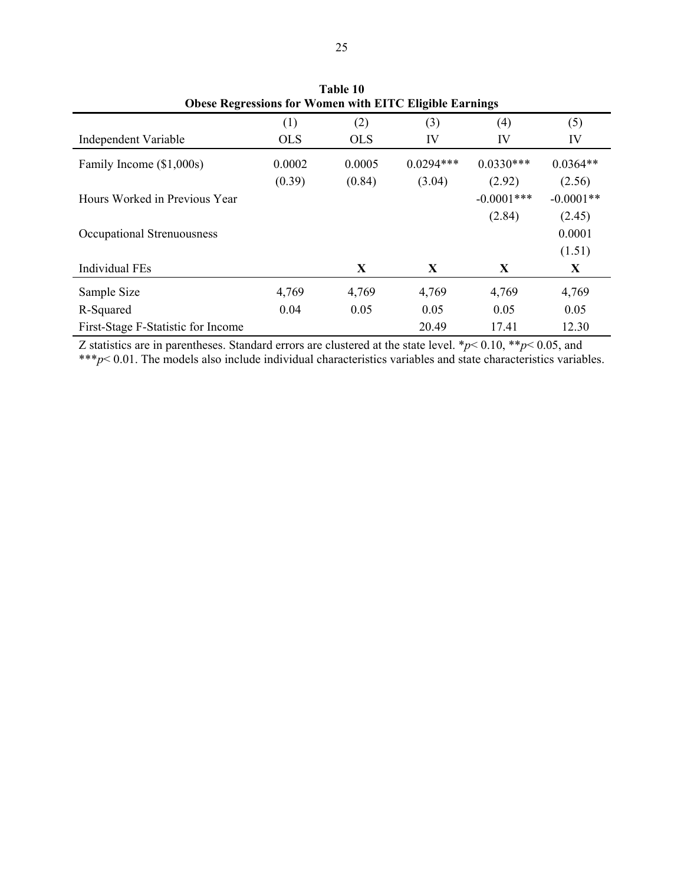|                                    |            |            | ODESE IN PLETESSIONS TOT WOMEN WITH ELLE ENGINE EATHINGS |               |             |
|------------------------------------|------------|------------|----------------------------------------------------------|---------------|-------------|
|                                    | (1)        | (2)        | (3)                                                      | (4)           | (5)         |
| Independent Variable               | <b>OLS</b> | <b>OLS</b> | IV                                                       | IV            | IV          |
| Family Income (\$1,000s)           | 0.0002     | 0.0005     | $0.0294***$                                              | $0.0330***$   | $0.0364**$  |
|                                    | (0.39)     | (0.84)     | (3.04)                                                   | (2.92)        | (2.56)      |
| Hours Worked in Previous Year      |            |            |                                                          | $-0.0001$ *** | $-0.0001**$ |
|                                    |            |            |                                                          | (2.84)        | (2.45)      |
| Occupational Strenuousness         |            |            |                                                          |               | 0.0001      |
|                                    |            |            |                                                          |               | (1.51)      |
| <b>Individual FEs</b>              |            | X          | X                                                        | X             | X           |
| Sample Size                        | 4,769      | 4,769      | 4,769                                                    | 4,769         | 4,769       |
| R-Squared                          | 0.04       | 0.05       | 0.05                                                     | 0.05          | 0.05        |
| First-Stage F-Statistic for Income |            |            | 20.49                                                    | 17.41         | 12.30       |

**Table 10 Obese Regressions for Women with EITC Eligible Earnings** 

Z statistics are in parentheses. Standard errors are clustered at the state level. \**p*< 0.10, \*\**p*< 0.05, and \*\*\**p*< 0.01. The models also include individual characteristics variables and state characteristics variables.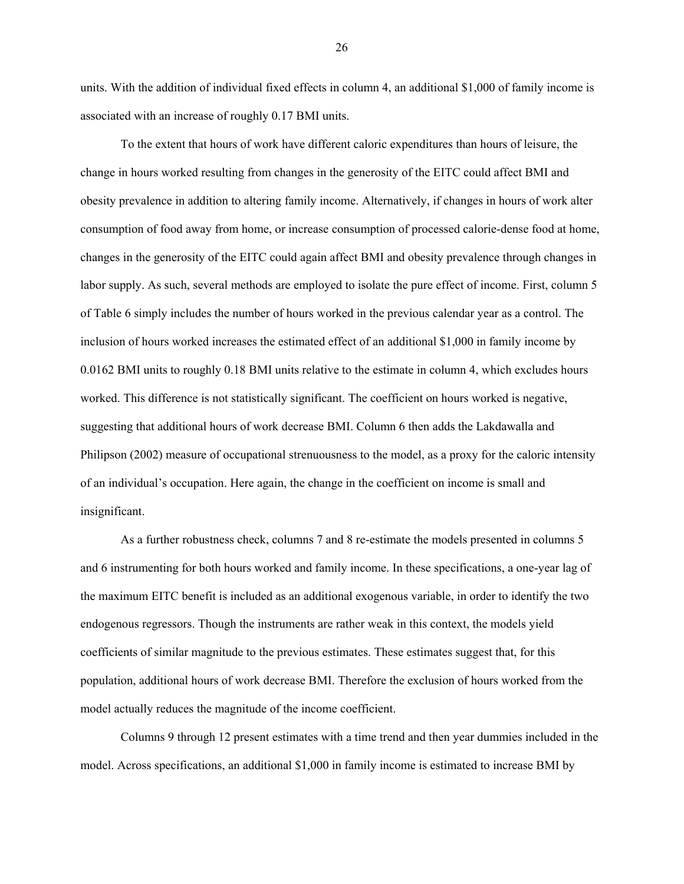units. With the addition of individual fixed effects in column 4, an additional \$1,000 of family income is associated with an increase of roughly 0.17 BMI units.

To the extent that hours of work have different caloric expenditures than hours of leisure, the change in hours worked resulting from changes in the generosity of the EITC could affect BMI and obesity prevalence in addition to altering family income. Alternatively, if changes in hours of work alter consumption of food away from home, or increase consumption of processed calorie-dense food at home, changes in the generosity of the EITC could again affect BMI and obesity prevalence through changes in labor supply. As such, several methods are employed to isolate the pure effect of income. First, column 5 of Table 6 simply includes the number of hours worked in the previous calendar year as a control. The inclusion of hours worked increases the estimated effect of an additional \$1,000 in family income by 0.0162 BMI units to roughly 0.18 BMI units relative to the estimate in column 4, which excludes hours worked. This difference is not statistically significant. The coefficient on hours worked is negative, suggesting that additional hours of work decrease BMI. Column 6 then adds the Lakdawalla and Philipson (2002) measure of occupational strenuousness to the model, as a proxy for the caloric intensity of an individual's occupation. Here again, the change in the coefficient on income is small and insignificant.

As a further robustness check, columns 7 and 8 re-estimate the models presented in columns 5 and 6 instrumenting for both hours worked and family income. In these specifications, a one-year lag of the maximum EITC benefit is included as an additional exogenous variable, in order to identify the two endogenous regressors. Though the instruments are rather weak in this context, the models yield coefficients of similar magnitude to the previous estimates. These estimates suggest that, for this population, additional hours of work decrease BMI. Therefore the exclusion of hours worked from the model actually reduces the magnitude of the income coefficient.

Columns 9 through 12 present estimates with a time trend and then year dummies included in the model. Across specifications, an additional \$1,000 in family income is estimated to increase BMI by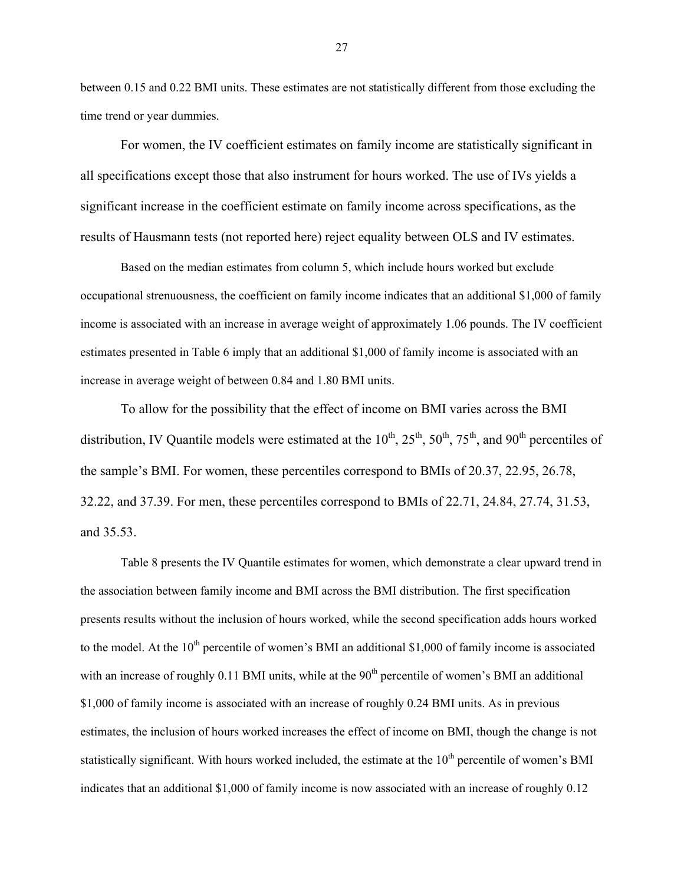between 0.15 and 0.22 BMI units. These estimates are not statistically different from those excluding the time trend or year dummies.

For women, the IV coefficient estimates on family income are statistically significant in all specifications except those that also instrument for hours worked. The use of IVs yields a significant increase in the coefficient estimate on family income across specifications, as the results of Hausmann tests (not reported here) reject equality between OLS and IV estimates.

Based on the median estimates from column 5, which include hours worked but exclude occupational strenuousness, the coefficient on family income indicates that an additional \$1,000 of family income is associated with an increase in average weight of approximately 1.06 pounds. The IV coefficient estimates presented in Table 6 imply that an additional \$1,000 of family income is associated with an increase in average weight of between 0.84 and 1.80 BMI units.

To allow for the possibility that the effect of income on BMI varies across the BMI distribution, IV Quantile models were estimated at the  $10^{th}$ ,  $25^{th}$ ,  $50^{th}$ ,  $75^{th}$ , and  $90^{th}$  percentiles of the sample's BMI. For women, these percentiles correspond to BMIs of 20.37, 22.95, 26.78, 32.22, and 37.39. For men, these percentiles correspond to BMIs of 22.71, 24.84, 27.74, 31.53, and 35.53.

Table 8 presents the IV Quantile estimates for women, which demonstrate a clear upward trend in the association between family income and BMI across the BMI distribution. The first specification presents results without the inclusion of hours worked, while the second specification adds hours worked to the model. At the  $10<sup>th</sup>$  percentile of women's BMI an additional \$1,000 of family income is associated with an increase of roughly  $0.11$  BMI units, while at the  $90<sup>th</sup>$  percentile of women's BMI an additional \$1,000 of family income is associated with an increase of roughly 0.24 BMI units. As in previous estimates, the inclusion of hours worked increases the effect of income on BMI, though the change is not statistically significant. With hours worked included, the estimate at the  $10<sup>th</sup>$  percentile of women's BMI indicates that an additional \$1,000 of family income is now associated with an increase of roughly 0.12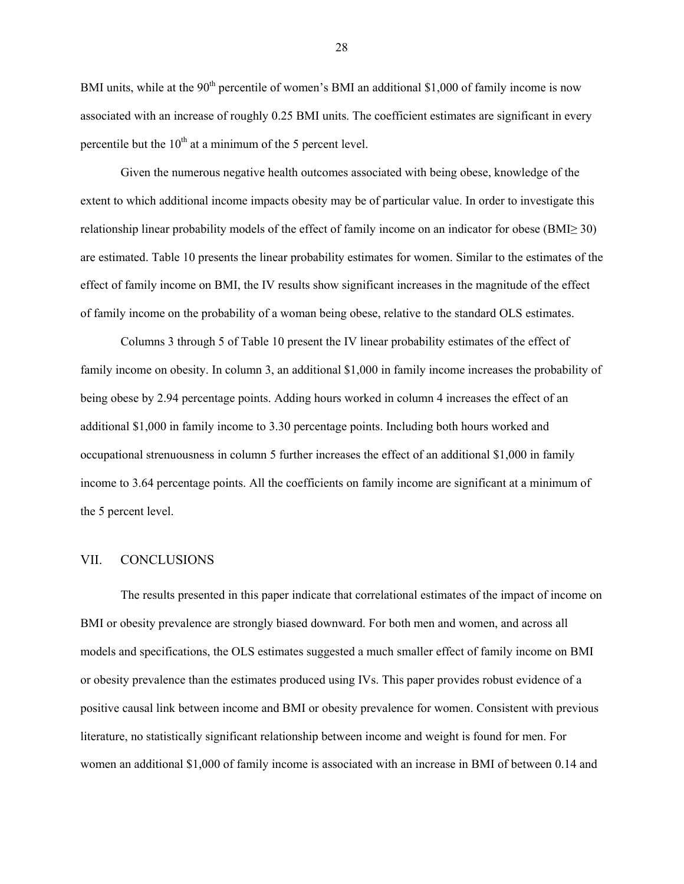BMI units, while at the 90<sup>th</sup> percentile of women's BMI an additional \$1,000 of family income is now associated with an increase of roughly 0.25 BMI units. The coefficient estimates are significant in every percentile but the  $10^{th}$  at a minimum of the 5 percent level.

Given the numerous negative health outcomes associated with being obese, knowledge of the extent to which additional income impacts obesity may be of particular value. In order to investigate this relationship linear probability models of the effect of family income on an indicator for obese (BMI≥ 30) are estimated. Table 10 presents the linear probability estimates for women. Similar to the estimates of the effect of family income on BMI, the IV results show significant increases in the magnitude of the effect of family income on the probability of a woman being obese, relative to the standard OLS estimates.

Columns 3 through 5 of Table 10 present the IV linear probability estimates of the effect of family income on obesity. In column 3, an additional \$1,000 in family income increases the probability of being obese by 2.94 percentage points. Adding hours worked in column 4 increases the effect of an additional \$1,000 in family income to 3.30 percentage points. Including both hours worked and occupational strenuousness in column 5 further increases the effect of an additional \$1,000 in family income to 3.64 percentage points. All the coefficients on family income are significant at a minimum of the 5 percent level.

## VII. CONCLUSIONS

The results presented in this paper indicate that correlational estimates of the impact of income on BMI or obesity prevalence are strongly biased downward. For both men and women, and across all models and specifications, the OLS estimates suggested a much smaller effect of family income on BMI or obesity prevalence than the estimates produced using IVs. This paper provides robust evidence of a positive causal link between income and BMI or obesity prevalence for women. Consistent with previous literature, no statistically significant relationship between income and weight is found for men. For women an additional \$1,000 of family income is associated with an increase in BMI of between 0.14 and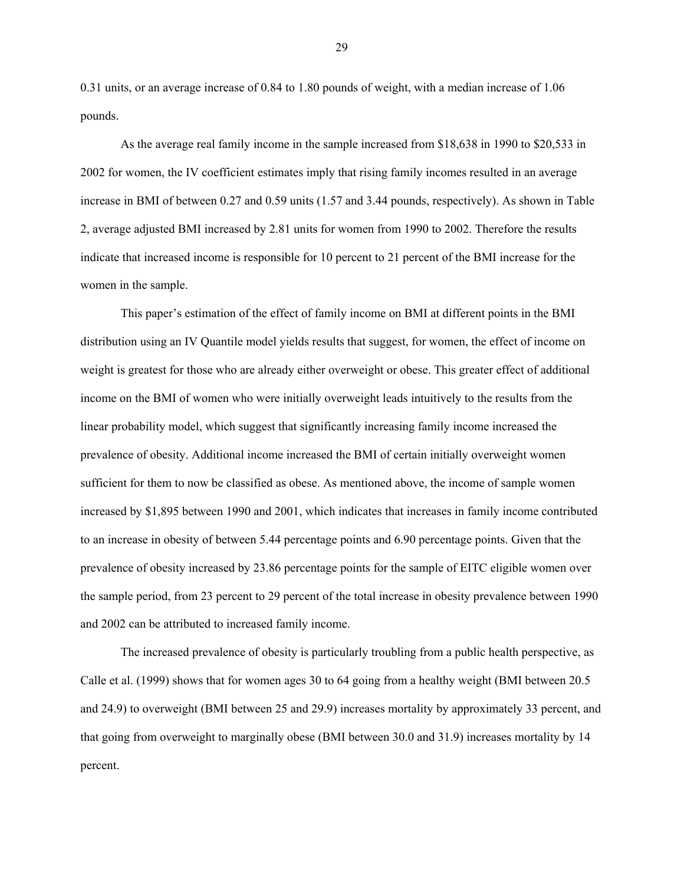0.31 units, or an average increase of 0.84 to 1.80 pounds of weight, with a median increase of 1.06 pounds.

As the average real family income in the sample increased from \$18,638 in 1990 to \$20,533 in 2002 for women, the IV coefficient estimates imply that rising family incomes resulted in an average increase in BMI of between 0.27 and 0.59 units (1.57 and 3.44 pounds, respectively). As shown in Table 2, average adjusted BMI increased by 2.81 units for women from 1990 to 2002. Therefore the results indicate that increased income is responsible for 10 percent to 21 percent of the BMI increase for the women in the sample.

This paper's estimation of the effect of family income on BMI at different points in the BMI distribution using an IV Quantile model yields results that suggest, for women, the effect of income on weight is greatest for those who are already either overweight or obese. This greater effect of additional income on the BMI of women who were initially overweight leads intuitively to the results from the linear probability model, which suggest that significantly increasing family income increased the prevalence of obesity. Additional income increased the BMI of certain initially overweight women sufficient for them to now be classified as obese. As mentioned above, the income of sample women increased by \$1,895 between 1990 and 2001, which indicates that increases in family income contributed to an increase in obesity of between 5.44 percentage points and 6.90 percentage points. Given that the prevalence of obesity increased by 23.86 percentage points for the sample of EITC eligible women over the sample period, from 23 percent to 29 percent of the total increase in obesity prevalence between 1990 and 2002 can be attributed to increased family income.

The increased prevalence of obesity is particularly troubling from a public health perspective, as Calle et al. (1999) shows that for women ages 30 to 64 going from a healthy weight (BMI between 20.5 and 24.9) to overweight (BMI between 25 and 29.9) increases mortality by approximately 33 percent, and that going from overweight to marginally obese (BMI between 30.0 and 31.9) increases mortality by 14 percent.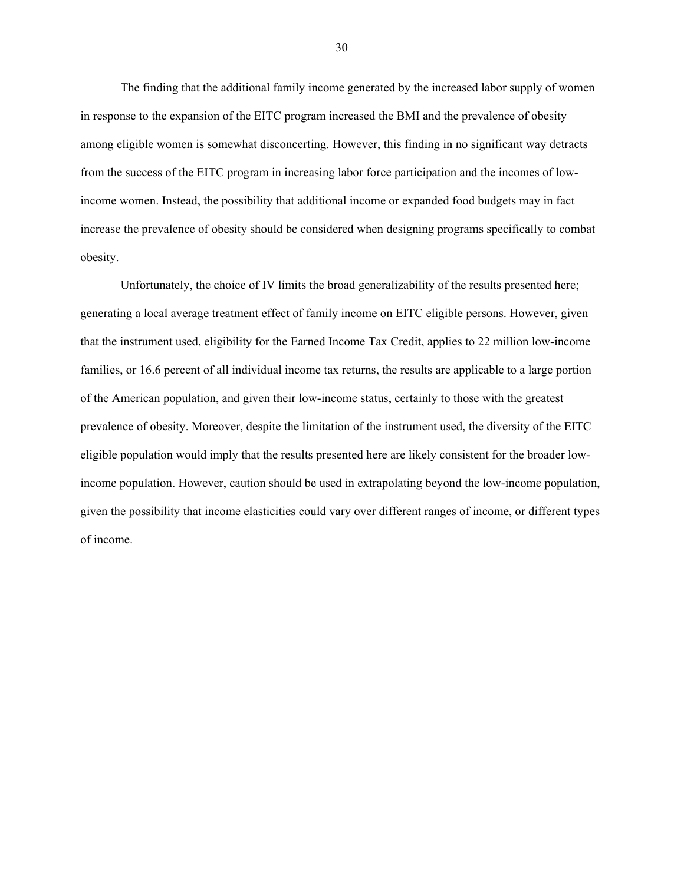The finding that the additional family income generated by the increased labor supply of women in response to the expansion of the EITC program increased the BMI and the prevalence of obesity among eligible women is somewhat disconcerting. However, this finding in no significant way detracts from the success of the EITC program in increasing labor force participation and the incomes of lowincome women. Instead, the possibility that additional income or expanded food budgets may in fact increase the prevalence of obesity should be considered when designing programs specifically to combat obesity.

Unfortunately, the choice of IV limits the broad generalizability of the results presented here; generating a local average treatment effect of family income on EITC eligible persons. However, given that the instrument used, eligibility for the Earned Income Tax Credit, applies to 22 million low-income families, or 16.6 percent of all individual income tax returns, the results are applicable to a large portion of the American population, and given their low-income status, certainly to those with the greatest prevalence of obesity. Moreover, despite the limitation of the instrument used, the diversity of the EITC eligible population would imply that the results presented here are likely consistent for the broader lowincome population. However, caution should be used in extrapolating beyond the low-income population, given the possibility that income elasticities could vary over different ranges of income, or different types of income.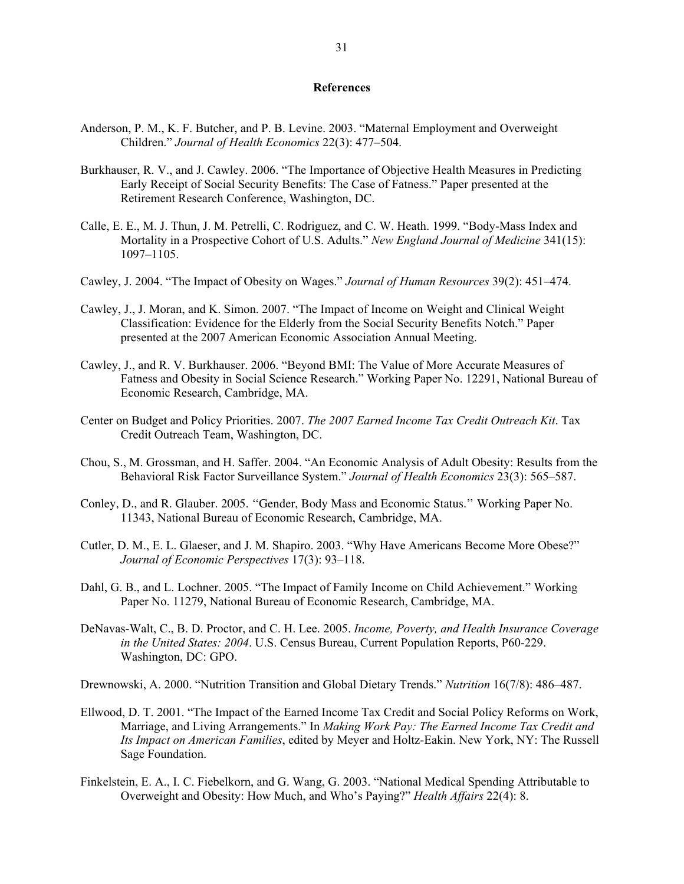#### **References**

- Anderson, P. M., K. F. Butcher, and P. B. Levine. 2003. "Maternal Employment and Overweight Children." *Journal of Health Economics* 22(3): 477–504.
- Burkhauser, R. V., and J. Cawley. 2006. "The Importance of Objective Health Measures in Predicting Early Receipt of Social Security Benefits: The Case of Fatness." Paper presented at the Retirement Research Conference, Washington, DC.
- Calle, E. E., M. J. Thun, J. M. Petrelli, C. Rodriguez, and C. W. Heath. 1999. "Body-Mass Index and Mortality in a Prospective Cohort of U.S. Adults." *New England Journal of Medicine* 341(15): 1097–1105.
- Cawley, J. 2004. "The Impact of Obesity on Wages." *Journal of Human Resources* 39(2): 451–474.
- Cawley, J., J. Moran, and K. Simon. 2007. "The Impact of Income on Weight and Clinical Weight Classification: Evidence for the Elderly from the Social Security Benefits Notch." Paper presented at the 2007 American Economic Association Annual Meeting.
- Cawley, J., and R. V. Burkhauser. 2006. "Beyond BMI: The Value of More Accurate Measures of Fatness and Obesity in Social Science Research." Working Paper No. 12291, National Bureau of Economic Research, Cambridge, MA.
- Center on Budget and Policy Priorities. 2007. *The 2007 Earned Income Tax Credit Outreach Kit*. Tax Credit Outreach Team, Washington, DC.
- Chou, S., M. Grossman, and H. Saffer. 2004. "An Economic Analysis of Adult Obesity: Results from the Behavioral Risk Factor Surveillance System." *Journal of Health Economics* 23(3): 565–587.
- Conley, D., and R. Glauber. 2005. ''Gender, Body Mass and Economic Status.'' Working Paper No. 11343, National Bureau of Economic Research, Cambridge, MA.
- Cutler, D. M., E. L. Glaeser, and J. M. Shapiro. 2003. "Why Have Americans Become More Obese?" *Journal of Economic Perspectives* 17(3): 93–118.
- Dahl, G. B., and L. Lochner. 2005. "The Impact of Family Income on Child Achievement." Working Paper No. 11279, National Bureau of Economic Research, Cambridge, MA.
- DeNavas-Walt, C., B. D. Proctor, and C. H. Lee. 2005. *Income, Poverty, and Health Insurance Coverage in the United States: 2004*. U.S. Census Bureau, Current Population Reports, P60-229. Washington, DC: GPO.

Drewnowski, A. 2000. "Nutrition Transition and Global Dietary Trends." *Nutrition* 16(7/8): 486–487.

- Ellwood, D. T. 2001. "The Impact of the Earned Income Tax Credit and Social Policy Reforms on Work, Marriage, and Living Arrangements." In *Making Work Pay: The Earned Income Tax Credit and Its Impact on American Families*, edited by Meyer and Holtz-Eakin. New York, NY: The Russell Sage Foundation.
- Finkelstein, E. A., I. C. Fiebelkorn, and G. Wang, G. 2003. "National Medical Spending Attributable to Overweight and Obesity: How Much, and Who's Paying?" *Health Affairs* 22(4): 8.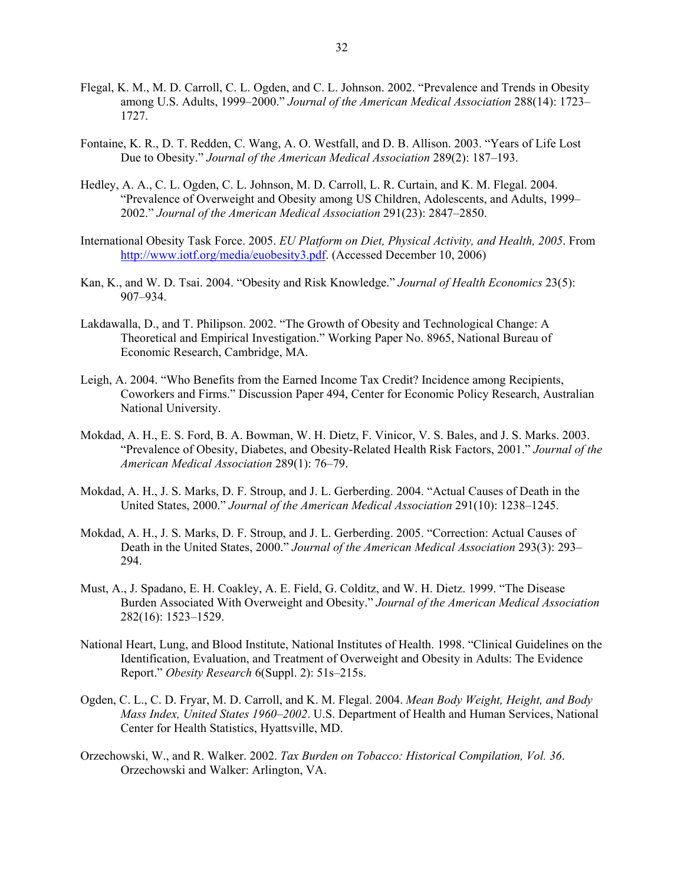- Flegal, K. M., M. D. Carroll, C. L. Ogden, and C. L. Johnson. 2002. "Prevalence and Trends in Obesity among U.S. Adults, 1999–2000." *Journal of the American Medical Association* 288(14): 1723– 1727.
- Fontaine, K. R., D. T. Redden, C. Wang, A. O. Westfall, and D. B. Allison. 2003. "Years of Life Lost Due to Obesity." *Journal of the American Medical Association* 289(2): 187–193.
- Hedley, A. A., C. L. Ogden, C. L. Johnson, M. D. Carroll, L. R. Curtain, and K. M. Flegal. 2004. "Prevalence of Overweight and Obesity among US Children, Adolescents, and Adults, 1999– 2002." *Journal of the American Medical Association* 291(23): 2847–2850.
- International Obesity Task Force. 2005. *EU Platform on Diet, Physical Activity, and Health, 2005*. From [http://www.iotf.org/media/euobesity3.pdf.](http://www.iotf.org/media/euobesity3.pdf) (Accessed December 10, 2006)
- Kan, K., and W. D. Tsai. 2004. "Obesity and Risk Knowledge." *Journal of Health Economics* 23(5): 907–934.
- Lakdawalla, D., and T. Philipson. 2002. "The Growth of Obesity and Technological Change: A Theoretical and Empirical Investigation." Working Paper No. 8965, National Bureau of Economic Research, Cambridge, MA.
- Leigh, A. 2004. "Who Benefits from the Earned Income Tax Credit? Incidence among Recipients, Coworkers and Firms." Discussion Paper 494, Center for Economic Policy Research, Australian National University.
- Mokdad, A. H., E. S. Ford, B. A. Bowman, W. H. Dietz, F. Vinicor, V. S. Bales, and J. S. Marks. 2003. "Prevalence of Obesity, Diabetes, and Obesity-Related Health Risk Factors, 2001." *Journal of the American Medical Association* 289(1): 76–79.
- Mokdad, A. H., J. S. Marks, D. F. Stroup, and J. L. Gerberding. 2004. "Actual Causes of Death in the United States, 2000." *Journal of the American Medical Association* 291(10): 1238–1245.
- Mokdad, A. H., J. S. Marks, D. F. Stroup, and J. L. Gerberding. 2005. "Correction: Actual Causes of Death in the United States, 2000." *Journal of the American Medical Association* 293(3): 293– 294.
- Must, A., J. Spadano, E. H. Coakley, A. E. Field, G. Colditz, and W. H. Dietz. 1999. "The Disease Burden Associated With Overweight and Obesity." *Journal of the American Medical Association* 282(16): 1523–1529.
- National Heart, Lung, and Blood Institute, National Institutes of Health. 1998. "Clinical Guidelines on the Identification, Evaluation, and Treatment of Overweight and Obesity in Adults: The Evidence Report." *Obesity Research* 6(Suppl. 2): 51s–215s.
- Ogden, C. L., C. D. Fryar, M. D. Carroll, and K. M. Flegal. 2004. *Mean Body Weight, Height, and Body Mass Index, United States 1960–2002*. U.S. Department of Health and Human Services, National Center for Health Statistics, Hyattsville, MD.
- Orzechowski, W., and R. Walker. 2002. *Tax Burden on Tobacco: Historical Compilation, Vol. 36*. Orzechowski and Walker: Arlington, VA.